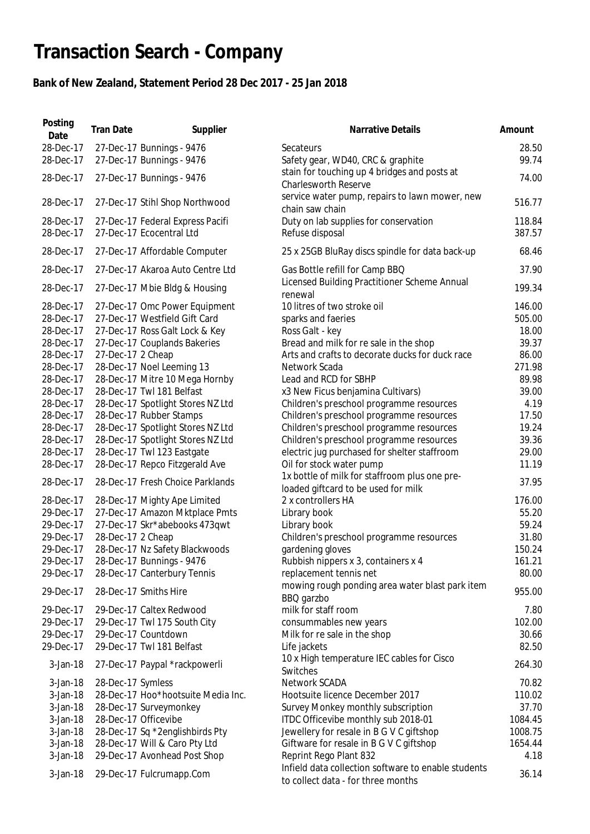## **Transaction Search - Company**

## **Bank of New Zealand, Statement Period 28 Dec 2017 - 25 Jan 2018**

| Posting<br>Date                                                                                                                                                                                                                                     | <b>Tran Date</b>                       | Supplier                                                                                                                                                                                                                                                                                                                                                                                                                                                                                                                                                                      | Narrative Details                                                                                                                                                                                                                                                                                                                                                                                                                                                                                                                                                                                                                                                                                      | Amount                                                                                                                                                                     |
|-----------------------------------------------------------------------------------------------------------------------------------------------------------------------------------------------------------------------------------------------------|----------------------------------------|-------------------------------------------------------------------------------------------------------------------------------------------------------------------------------------------------------------------------------------------------------------------------------------------------------------------------------------------------------------------------------------------------------------------------------------------------------------------------------------------------------------------------------------------------------------------------------|--------------------------------------------------------------------------------------------------------------------------------------------------------------------------------------------------------------------------------------------------------------------------------------------------------------------------------------------------------------------------------------------------------------------------------------------------------------------------------------------------------------------------------------------------------------------------------------------------------------------------------------------------------------------------------------------------------|----------------------------------------------------------------------------------------------------------------------------------------------------------------------------|
| 28-Dec-17<br>28-Dec-17                                                                                                                                                                                                                              |                                        | 27-Dec-17 Bunnings - 9476<br>27-Dec-17 Bunnings - 9476                                                                                                                                                                                                                                                                                                                                                                                                                                                                                                                        | Secateurs<br>Safety gear, WD40, CRC & graphite                                                                                                                                                                                                                                                                                                                                                                                                                                                                                                                                                                                                                                                         | 28.50<br>99.74                                                                                                                                                             |
| 28-Dec-17                                                                                                                                                                                                                                           |                                        | 27-Dec-17 Bunnings - 9476                                                                                                                                                                                                                                                                                                                                                                                                                                                                                                                                                     | stain for touching up 4 bridges and posts at<br><b>Charlesworth Reserve</b>                                                                                                                                                                                                                                                                                                                                                                                                                                                                                                                                                                                                                            | 74.00                                                                                                                                                                      |
| 28-Dec-17                                                                                                                                                                                                                                           |                                        | 27-Dec-17 Stihl Shop Northwood                                                                                                                                                                                                                                                                                                                                                                                                                                                                                                                                                | service water pump, repairs to lawn mower, new<br>chain saw chain                                                                                                                                                                                                                                                                                                                                                                                                                                                                                                                                                                                                                                      | 516.77                                                                                                                                                                     |
| 28-Dec-17<br>28-Dec-17                                                                                                                                                                                                                              |                                        | 27-Dec-17 Federal Express Pacifi<br>27-Dec-17 Ecocentral Ltd                                                                                                                                                                                                                                                                                                                                                                                                                                                                                                                  | Duty on lab supplies for conservation<br>Refuse disposal                                                                                                                                                                                                                                                                                                                                                                                                                                                                                                                                                                                                                                               | 118.84<br>387.57                                                                                                                                                           |
| 28-Dec-17                                                                                                                                                                                                                                           |                                        | 27-Dec-17 Affordable Computer                                                                                                                                                                                                                                                                                                                                                                                                                                                                                                                                                 | 25 x 25GB BluRay discs spindle for data back-up                                                                                                                                                                                                                                                                                                                                                                                                                                                                                                                                                                                                                                                        | 68.46                                                                                                                                                                      |
| 28-Dec-17                                                                                                                                                                                                                                           |                                        | 27-Dec-17 Akaroa Auto Centre Ltd                                                                                                                                                                                                                                                                                                                                                                                                                                                                                                                                              | Gas Bottle refill for Camp BBQ                                                                                                                                                                                                                                                                                                                                                                                                                                                                                                                                                                                                                                                                         | 37.90                                                                                                                                                                      |
| 28-Dec-17                                                                                                                                                                                                                                           |                                        | 27-Dec-17 Mbie Bldg & Housing                                                                                                                                                                                                                                                                                                                                                                                                                                                                                                                                                 | Licensed Building Practitioner Scheme Annual<br>renewal                                                                                                                                                                                                                                                                                                                                                                                                                                                                                                                                                                                                                                                | 199.34                                                                                                                                                                     |
| 28-Dec-17<br>28-Dec-17<br>28-Dec-17<br>28-Dec-17<br>28-Dec-17<br>28-Dec-17<br>28-Dec-17<br>28-Dec-17<br>28-Dec-17<br>28-Dec-17<br>28-Dec-17<br>28-Dec-17<br>28-Dec-17<br>28-Dec-17<br>28-Dec-17<br>28-Dec-17<br>29-Dec-17<br>29-Dec-17<br>29-Dec-17 | 27-Dec-17 2 Cheap<br>28-Dec-17 2 Cheap | 27-Dec-17 Omc Power Equipment<br>27-Dec-17 Westfield Gift Card<br>27-Dec-17 Ross Galt Lock & Key<br>27-Dec-17 Couplands Bakeries<br>28-Dec-17 Noel Leeming 13<br>28-Dec-17 Mitre 10 Mega Hornby<br>28-Dec-17 Twl 181 Belfast<br>28-Dec-17 Spotlight Stores NZ Ltd<br>28-Dec-17 Rubber Stamps<br>28-Dec-17 Spotlight Stores NZ Ltd<br>28-Dec-17 Spotlight Stores NZ Ltd<br>28-Dec-17 Twl 123 Eastgate<br>28-Dec-17 Repco Fitzgerald Ave<br>28-Dec-17 Fresh Choice Parklands<br>28-Dec-17 Mighty Ape Limited<br>27-Dec-17 Amazon Mktplace Pmts<br>27-Dec-17 Skr*abebooks 473qwt | 10 litres of two stroke oil<br>sparks and faeries<br>Ross Galt - key<br>Bread and milk for re sale in the shop<br>Arts and crafts to decorate ducks for duck race<br>Network Scada<br>Lead and RCD for SBHP<br>x3 New Ficus benjamina Cultivars)<br>Children's preschool programme resources<br>Children's preschool programme resources<br>Children's preschool programme resources<br>Children's preschool programme resources<br>electric jug purchased for shelter staffroom<br>Oil for stock water pump<br>1x bottle of milk for staffroom plus one pre-<br>loaded giftcard to be used for milk<br>2 x controllers HA<br>Library book<br>Library book<br>Children's preschool programme resources | 146.00<br>505.00<br>18.00<br>39.37<br>86.00<br>271.98<br>89.98<br>39.00<br>4.19<br>17.50<br>19.24<br>39.36<br>29.00<br>11.19<br>37.95<br>176.00<br>55.20<br>59.24<br>31.80 |
| 29-Dec-17                                                                                                                                                                                                                                           |                                        | 28-Dec-17 Nz Safety Blackwoods                                                                                                                                                                                                                                                                                                                                                                                                                                                                                                                                                | gardening gloves                                                                                                                                                                                                                                                                                                                                                                                                                                                                                                                                                                                                                                                                                       | 150.24                                                                                                                                                                     |
| 29-Dec-17<br>29-Dec-17                                                                                                                                                                                                                              |                                        | 28-Dec-17 Bunnings - 9476<br>28-Dec-17 Canterbury Tennis                                                                                                                                                                                                                                                                                                                                                                                                                                                                                                                      | Rubbish nippers x 3, containers x 4<br>replacement tennis net                                                                                                                                                                                                                                                                                                                                                                                                                                                                                                                                                                                                                                          | 161.21<br>80.00                                                                                                                                                            |
| 29-Dec-17                                                                                                                                                                                                                                           |                                        | 28-Dec-17 Smiths Hire                                                                                                                                                                                                                                                                                                                                                                                                                                                                                                                                                         | mowing rough ponding area water blast park item<br>BBQ garzbo                                                                                                                                                                                                                                                                                                                                                                                                                                                                                                                                                                                                                                          | 955.00                                                                                                                                                                     |
| 29-Dec-17                                                                                                                                                                                                                                           |                                        | 29-Dec-17 Caltex Redwood                                                                                                                                                                                                                                                                                                                                                                                                                                                                                                                                                      | milk for staff room                                                                                                                                                                                                                                                                                                                                                                                                                                                                                                                                                                                                                                                                                    | 7.80                                                                                                                                                                       |
| 29-Dec-17                                                                                                                                                                                                                                           |                                        | 29-Dec-17 Twl 175 South City                                                                                                                                                                                                                                                                                                                                                                                                                                                                                                                                                  | consummables new years                                                                                                                                                                                                                                                                                                                                                                                                                                                                                                                                                                                                                                                                                 | 102.00                                                                                                                                                                     |
| 29-Dec-17                                                                                                                                                                                                                                           |                                        | 29-Dec-17 Countdown                                                                                                                                                                                                                                                                                                                                                                                                                                                                                                                                                           | Milk for re sale in the shop                                                                                                                                                                                                                                                                                                                                                                                                                                                                                                                                                                                                                                                                           | 30.66                                                                                                                                                                      |
| 29-Dec-17                                                                                                                                                                                                                                           |                                        | 29-Dec-17 Twl 181 Belfast                                                                                                                                                                                                                                                                                                                                                                                                                                                                                                                                                     | Life jackets<br>10 x High temperature IEC cables for Cisco                                                                                                                                                                                                                                                                                                                                                                                                                                                                                                                                                                                                                                             | 82.50                                                                                                                                                                      |
| $3-Jan-18$                                                                                                                                                                                                                                          |                                        | 27-Dec-17 Paypal *rackpowerli                                                                                                                                                                                                                                                                                                                                                                                                                                                                                                                                                 | Switches                                                                                                                                                                                                                                                                                                                                                                                                                                                                                                                                                                                                                                                                                               | 264.30                                                                                                                                                                     |
| $3-Jan-18$                                                                                                                                                                                                                                          | 28-Dec-17 Symless                      |                                                                                                                                                                                                                                                                                                                                                                                                                                                                                                                                                                               | Network SCADA                                                                                                                                                                                                                                                                                                                                                                                                                                                                                                                                                                                                                                                                                          | 70.82                                                                                                                                                                      |
| $3$ -Jan-18                                                                                                                                                                                                                                         |                                        | 28-Dec-17 Hoo*hootsuite Media Inc.                                                                                                                                                                                                                                                                                                                                                                                                                                                                                                                                            | Hootsuite licence December 2017                                                                                                                                                                                                                                                                                                                                                                                                                                                                                                                                                                                                                                                                        | 110.02                                                                                                                                                                     |
| $3-Jan-18$                                                                                                                                                                                                                                          |                                        | 28-Dec-17 Surveymonkey                                                                                                                                                                                                                                                                                                                                                                                                                                                                                                                                                        | Survey Monkey monthly subscription                                                                                                                                                                                                                                                                                                                                                                                                                                                                                                                                                                                                                                                                     | 37.70                                                                                                                                                                      |
| $3$ -Jan-18                                                                                                                                                                                                                                         |                                        | 28-Dec-17 Officevibe                                                                                                                                                                                                                                                                                                                                                                                                                                                                                                                                                          | ITDC Officevibe monthly sub 2018-01                                                                                                                                                                                                                                                                                                                                                                                                                                                                                                                                                                                                                                                                    | 1084.45                                                                                                                                                                    |
| $3$ -Jan-18                                                                                                                                                                                                                                         |                                        | 28-Dec-17 Sq *2englishbirds Pty                                                                                                                                                                                                                                                                                                                                                                                                                                                                                                                                               | Jewellery for resale in B G V C giftshop                                                                                                                                                                                                                                                                                                                                                                                                                                                                                                                                                                                                                                                               | 1008.75                                                                                                                                                                    |
| $3$ -Jan-18                                                                                                                                                                                                                                         |                                        | 28-Dec-17 Will & Caro Pty Ltd                                                                                                                                                                                                                                                                                                                                                                                                                                                                                                                                                 | Giftware for resale in B G V C giftshop                                                                                                                                                                                                                                                                                                                                                                                                                                                                                                                                                                                                                                                                | 1654.44                                                                                                                                                                    |
| $3$ -Jan-18                                                                                                                                                                                                                                         |                                        | 29-Dec-17 Avonhead Post Shop                                                                                                                                                                                                                                                                                                                                                                                                                                                                                                                                                  | Reprint Rego Plant 832                                                                                                                                                                                                                                                                                                                                                                                                                                                                                                                                                                                                                                                                                 | 4.18                                                                                                                                                                       |
| $3$ -Jan-18                                                                                                                                                                                                                                         |                                        | 29-Dec-17 Fulcrumapp.Com                                                                                                                                                                                                                                                                                                                                                                                                                                                                                                                                                      | Infield data collection software to enable students<br>to collect data - for three months                                                                                                                                                                                                                                                                                                                                                                                                                                                                                                                                                                                                              | 36.14                                                                                                                                                                      |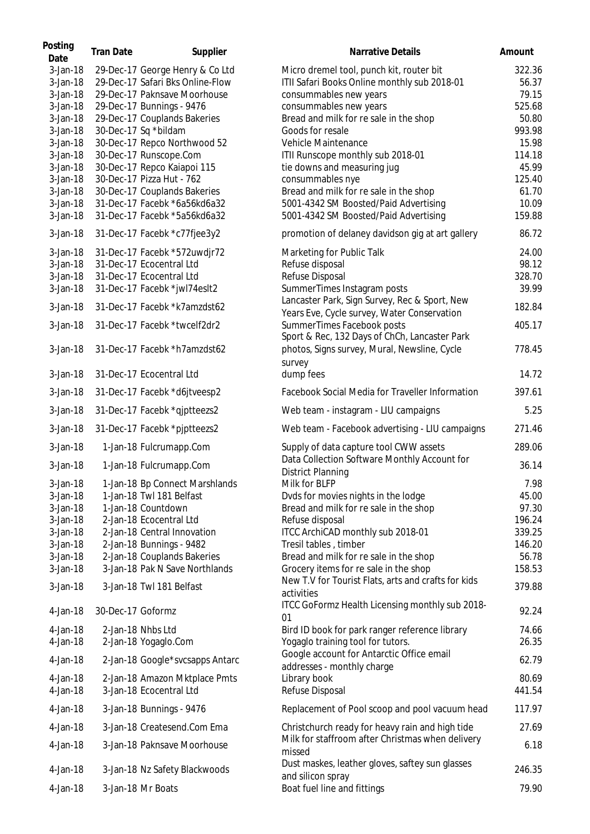| Posting<br>Date | <b>Tran Date</b>  | Supplier                         | Narrative Details                                                                      | Amount |
|-----------------|-------------------|----------------------------------|----------------------------------------------------------------------------------------|--------|
| $3-Jan-18$      |                   | 29-Dec-17 George Henry & Co Ltd  | Micro dremel tool, punch kit, router bit                                               | 322.36 |
| $3-Jan-18$      |                   | 29-Dec-17 Safari Bks Online-Flow | ITII Safari Books Online monthly sub 2018-01                                           | 56.37  |
| $3-Jan-18$      |                   | 29-Dec-17 Paknsave Moorhouse     | consummables new years                                                                 | 79.15  |
| $3-Jan-18$      |                   | 29-Dec-17 Bunnings - 9476        | consummables new years                                                                 | 525.68 |
| $3-Jan-18$      |                   | 29-Dec-17 Couplands Bakeries     | Bread and milk for re sale in the shop                                                 | 50.80  |
|                 |                   |                                  |                                                                                        |        |
| $3-Jan-18$      |                   | 30-Dec-17 Sq *bildam             | Goods for resale                                                                       | 993.98 |
| $3-Jan-18$      |                   | 30-Dec-17 Repco Northwood 52     | Vehicle Maintenance                                                                    | 15.98  |
| 3-Jan-18        |                   | 30-Dec-17 Runscope.Com           | ITII Runscope monthly sub 2018-01                                                      | 114.18 |
| 3-Jan-18        |                   | 30-Dec-17 Repco Kaiapoi 115      | tie downs and measuring jug                                                            | 45.99  |
| 3-Jan-18        |                   | 30-Dec-17 Pizza Hut - 762        | consummables nye                                                                       | 125.40 |
| 3-Jan-18        |                   | 30-Dec-17 Couplands Bakeries     | Bread and milk for re sale in the shop                                                 | 61.70  |
| $3-Jan-18$      |                   | 31-Dec-17 Facebk *6a56kd6a32     | 5001-4342 SM Boosted/Paid Advertising                                                  | 10.09  |
| $3-Jan-18$      |                   | 31-Dec-17 Facebk *5a56kd6a32     | 5001-4342 SM Boosted/Paid Advertising                                                  | 159.88 |
| $3-Jan-18$      |                   | 31-Dec-17 Facebk *c77fjee3y2     | promotion of delaney davidson gig at art gallery                                       | 86.72  |
| $3-Jan-18$      |                   | 31-Dec-17 Facebk *572uwdjr72     | Marketing for Public Talk                                                              | 24.00  |
| $3-Jan-18$      |                   | 31-Dec-17 Ecocentral Ltd         | Refuse disposal                                                                        | 98.12  |
| $3-Jan-18$      |                   | 31-Dec-17 Ecocentral Ltd         | Refuse Disposal                                                                        | 328.70 |
| $3-Jan-18$      |                   | 31-Dec-17 Facebk *jwl74eslt2     | SummerTimes Instagram posts                                                            | 39.99  |
| $3-Jan-18$      |                   | 31-Dec-17 Facebk *k7amzdst62     | Lancaster Park, Sign Survey, Rec & Sport, New                                          | 182.84 |
|                 |                   |                                  | Years Eve, Cycle survey, Water Conservation                                            |        |
| $3-Jan-18$      |                   | 31-Dec-17 Facebk *twcelf2dr2     | SummerTimes Facebook posts<br>Sport & Rec, 132 Days of ChCh, Lancaster Park            | 405.17 |
| 3-Jan-18        |                   | 31-Dec-17 Facebk *h7amzdst62     | photos, Signs survey, Mural, Newsline, Cycle<br>survey                                 | 778.45 |
| $3-Jan-18$      |                   | 31-Dec-17 Ecocentral Ltd         | dump fees                                                                              | 14.72  |
| $3-Jan-18$      |                   | 31-Dec-17 Facebk *d6jtveesp2     | Facebook Social Media for Traveller Information                                        | 397.61 |
| $3-Jan-18$      |                   | 31-Dec-17 Facebk *qjptteezs2     | Web team - instagram - LIU campaigns                                                   | 5.25   |
| $3-Jan-18$      |                   | 31-Dec-17 Facebk *pjptteezs2     | Web team - Facebook advertising - LIU campaigns                                        | 271.46 |
| 3-Jan-18        |                   | 1-Jan-18 Fulcrumapp.Com          | Supply of data capture tool CWW assets<br>Data Collection Software Monthly Account for | 289.06 |
| 3-Jan-18        |                   | 1-Jan-18 Fulcrumapp.Com          | <b>District Planning</b>                                                               | 36.14  |
| 3-Jan-18        |                   | 1-Jan-18 Bp Connect Marshlands   | Milk for BLFP                                                                          | 7.98   |
| 3-Jan-18        |                   | 1-Jan-18 Twl 181 Belfast         | Dvds for movies nights in the lodge                                                    | 45.00  |
| $3-Jan-18$      |                   | 1-Jan-18 Countdown               | Bread and milk for re sale in the shop                                                 | 97.30  |
| $3-Jan-18$      |                   | 2-Jan-18 Ecocentral Ltd          | Refuse disposal                                                                        | 196.24 |
| $3$ -Jan-18     |                   | 2-Jan-18 Central Innovation      | ITCC ArchiCAD monthly sub 2018-01                                                      | 339.25 |
| $3$ -Jan-18     |                   | 2-Jan-18 Bunnings - 9482         | Tresil tables, timber                                                                  | 146.20 |
| $3-Jan-18$      |                   | 2-Jan-18 Couplands Bakeries      | Bread and milk for re sale in the shop                                                 | 56.78  |
| $3-Jan-18$      |                   | 3-Jan-18 Pak N Save Northlands   | Grocery items for re sale in the shop                                                  | 158.53 |
| 3-Jan-18        |                   | 3-Jan-18 Twl 181 Belfast         | New T.V for Tourist Flats, arts and crafts for kids<br>activities                      | 379.88 |
| 4-Jan-18        | 30-Dec-17 Goformz |                                  | ITCC GoFormz Health Licensing monthly sub 2018-<br>01                                  | 92.24  |
|                 |                   | 2-Jan-18 Nhbs Ltd                |                                                                                        |        |
| 4-Jan-18        |                   |                                  | Bird ID book for park ranger reference library                                         | 74.66  |
| 4-Jan-18        |                   | 2-Jan-18 Yogaglo.Com             | Yogaglo training tool for tutors.                                                      | 26.35  |
| 4-Jan-18        |                   | 2-Jan-18 Google*svcsapps Antarc  | Google account for Antarctic Office email                                              | 62.79  |
|                 |                   |                                  | addresses - monthly charge                                                             |        |
| 4-Jan-18        |                   | 2-Jan-18 Amazon Mktplace Pmts    | Library book                                                                           | 80.69  |
| 4-Jan-18        |                   | 3-Jan-18 Ecocentral Ltd          | Refuse Disposal                                                                        | 441.54 |
| 4-Jan-18        |                   | 3-Jan-18 Bunnings - 9476         | Replacement of Pool scoop and pool vacuum head                                         | 117.97 |
| 4-Jan-18        |                   | 3-Jan-18 Createsend.Com Ema      | Christchurch ready for heavy rain and high tide                                        | 27.69  |
| 4-Jan-18        |                   | 3-Jan-18 Paknsave Moorhouse      | Milk for staffroom after Christmas when delivery<br>missed                             | 6.18   |
| 4-Jan-18        |                   | 3-Jan-18 Nz Safety Blackwoods    | Dust maskes, leather gloves, saftey sun glasses<br>and silicon spray                   | 246.35 |
| 4-Jan-18        |                   | 3-Jan-18 Mr Boats                | Boat fuel line and fittings                                                            | 79.90  |
|                 |                   |                                  |                                                                                        |        |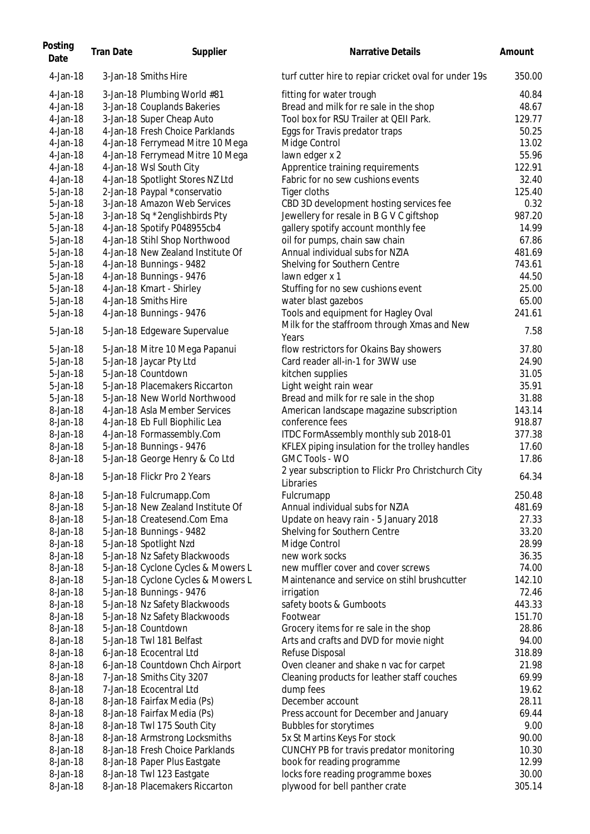| Posting<br>Date      | <b>Tran Date</b> | Supplier                                                      | <b>Narrative Details</b>                                                 | Amount         |
|----------------------|------------------|---------------------------------------------------------------|--------------------------------------------------------------------------|----------------|
| 4-Jan-18             |                  | 3-Jan-18 Smiths Hire                                          | turf cutter hire to replar cricket oval for under 19s                    | 350.00         |
| 4-Jan-18             |                  | 3-Jan-18 Plumbing World #81                                   | fitting for water trough                                                 | 40.84          |
| 4-Jan-18             |                  | 3-Jan-18 Couplands Bakeries                                   | Bread and milk for re sale in the shop                                   | 48.67          |
| 4-Jan-18             |                  | 3-Jan-18 Super Cheap Auto                                     | Tool box for RSU Trailer at QEII Park.                                   | 129.77         |
| 4-Jan-18             |                  | 4-Jan-18 Fresh Choice Parklands                               | Eggs for Travis predator traps                                           | 50.25          |
| 4-Jan-18             |                  | 4-Jan-18 Ferrymead Mitre 10 Mega                              | Midge Control                                                            | 13.02          |
| 4-Jan-18             |                  | 4-Jan-18 Ferrymead Mitre 10 Mega                              | lawn edger x 2                                                           | 55.96          |
| 4-Jan-18             |                  | 4-Jan-18 Wsl South City                                       | Apprentice training requirements                                         | 122.91         |
| 4-Jan-18             |                  | 4-Jan-18 Spotlight Stores NZ Ltd                              | Fabric for no sew cushions events                                        | 32.40          |
| 5-Jan-18             |                  | 2-Jan-18 Paypal *conservatio                                  | Tiger cloths                                                             | 125.40         |
| 5-Jan-18             |                  | 3-Jan-18 Amazon Web Services                                  | CBD 3D development hosting services fee                                  | 0.32           |
| 5-Jan-18             |                  | 3-Jan-18 Sq *2englishbirds Pty                                | Jewellery for resale in B G V C giftshop                                 | 987.20         |
| 5-Jan-18             |                  | 4-Jan-18 Spotify P048955cb4                                   | gallery spotify account monthly fee                                      | 14.99          |
| 5-Jan-18             |                  | 4-Jan-18 Stihl Shop Northwood                                 | oil for pumps, chain saw chain                                           | 67.86          |
| 5-Jan-18             |                  | 4-Jan-18 New Zealand Institute Of                             | Annual individual subs for NZIA                                          | 481.69         |
| 5-Jan-18             |                  | 4-Jan-18 Bunnings - 9482                                      | Shelving for Southern Centre                                             | 743.61         |
| $5$ -Jan $-18$       |                  | 4-Jan-18 Bunnings - 9476                                      | lawn edger x 1                                                           | 44.50          |
| 5-Jan-18             |                  | 4-Jan-18 Kmart - Shirley                                      | Stuffing for no sew cushions event                                       | 25.00          |
| 5-Jan-18             |                  | 4-Jan-18 Smiths Hire                                          | water blast gazebos                                                      | 65.00          |
| 5-Jan-18             |                  | 4-Jan-18 Bunnings - 9476                                      | Tools and equipment for Hagley Oval                                      | 241.61         |
| 5-Jan-18             |                  | 5-Jan-18 Edgeware Supervalue                                  | Milk for the staffroom through Xmas and New<br>Years                     | 7.58           |
| 5-Jan-18             |                  | 5-Jan-18 Mitre 10 Mega Papanui                                | flow restrictors for Okains Bay showers                                  | 37.80          |
| 5-Jan-18             |                  | 5-Jan-18 Jaycar Pty Ltd                                       | Card reader all-in-1 for 3WW use                                         | 24.90          |
| $5$ -Jan $-18$       |                  | 5-Jan-18 Countdown                                            |                                                                          | 31.05          |
| 5-Jan-18             |                  | 5-Jan-18 Placemakers Riccarton                                | kitchen supplies                                                         | 35.91          |
| 5-Jan-18             |                  | 5-Jan-18 New World Northwood                                  | Light weight rain wear                                                   | 31.88          |
| 8-Jan-18             |                  | 4-Jan-18 Asla Member Services                                 | Bread and milk for re sale in the shop                                   | 143.14         |
| 8-Jan-18             |                  |                                                               | American landscape magazine subscription                                 |                |
|                      |                  | 4-Jan-18 Eb Full Biophilic Lea                                | conference fees                                                          | 918.87         |
| 8-Jan-18             |                  | 4-Jan-18 Formassembly.Com                                     | ITDC FormAssembly monthly sub 2018-01                                    | 377.38         |
| 8-Jan-18<br>8-Jan-18 |                  | 5-Jan-18 Bunnings - 9476                                      | KFLEX piping insulation for the trolley handles<br><b>GMC Tools - WO</b> | 17.60<br>17.86 |
| 8-Jan-18             |                  | 5-Jan-18 George Henry & Co Ltd<br>5-Jan-18 Flickr Pro 2 Years | 2 year subscription to Flickr Pro Christchurch City                      | 64.34          |
|                      |                  |                                                               | Libraries                                                                |                |
| 8-Jan-18             |                  | 5-Jan-18 Fulcrumapp.Com                                       | Fulcrumapp                                                               | 250.48         |
| 8-Jan-18             |                  | 5-Jan-18 New Zealand Institute Of                             | Annual individual subs for NZIA                                          | 481.69         |
| 8-Jan-18             |                  | 5-Jan-18 Createsend.Com Ema                                   | Update on heavy rain - 5 January 2018                                    | 27.33          |
| 8-Jan-18             |                  | 5-Jan-18 Bunnings - 9482                                      | Shelving for Southern Centre                                             | 33.20          |
| 8-Jan-18             |                  | 5-Jan-18 Spotlight Nzd                                        | Midge Control                                                            | 28.99          |
| 8-Jan-18             |                  | 5-Jan-18 Nz Safety Blackwoods                                 | new work socks                                                           | 36.35          |
| 8-Jan-18             |                  | 5-Jan-18 Cyclone Cycles & Mowers L                            | new muffler cover and cover screws                                       | 74.00          |
| 8-Jan-18             |                  | 5-Jan-18 Cyclone Cycles & Mowers L                            | Maintenance and service on stihl brushcutter                             | 142.10         |
| 8-Jan-18             |                  | 5-Jan-18 Bunnings - 9476                                      | irrigation                                                               | 72.46          |
| 8-Jan-18             |                  | 5-Jan-18 Nz Safety Blackwoods                                 | safety boots & Gumboots                                                  | 443.33         |
| 8-Jan-18             |                  | 5-Jan-18 Nz Safety Blackwoods                                 | Footwear                                                                 | 151.70         |
| 8-Jan-18             |                  | 5-Jan-18 Countdown                                            | Grocery items for re sale in the shop                                    | 28.86          |
| 8-Jan-18             |                  | 5-Jan-18 Twl 181 Belfast                                      | Arts and crafts and DVD for movie night                                  | 94.00          |
| 8-Jan-18             |                  | 6-Jan-18 Ecocentral Ltd                                       | Refuse Disposal                                                          | 318.89         |
| 8-Jan-18             |                  | 6-Jan-18 Countdown Chch Airport                               | Oven cleaner and shake n vac for carpet                                  | 21.98          |
| 8-Jan-18             |                  | 7-Jan-18 Smiths City 3207                                     | Cleaning products for leather staff couches                              | 69.99          |
| 8-Jan-18             |                  | 7-Jan-18 Ecocentral Ltd                                       | dump fees                                                                | 19.62          |
| 8-Jan-18             |                  | 8-Jan-18 Fairfax Media (Ps)                                   | December account                                                         | 28.11          |
| 8-Jan-18             |                  | 8-Jan-18 Fairfax Media (Ps)                                   | Press account for December and January                                   | 69.44          |
| 8-Jan-18             |                  | 8-Jan-18 Twl 175 South City                                   | <b>Bubbles for storytimes</b>                                            | 9.00           |
| 8-Jan-18             |                  | 8-Jan-18 Armstrong Locksmiths                                 | 5x St Martins Keys For stock                                             | 90.00          |
| 8-Jan-18             |                  | 8-Jan-18 Fresh Choice Parklands                               | CUNCHY PB for travis predator monitoring                                 | 10.30          |
| 8-Jan-18             |                  | 8-Jan-18 Paper Plus Eastgate                                  | book for reading programme                                               | 12.99          |
| 8-Jan-18             |                  | 8-Jan-18 Twl 123 Eastgate                                     | locks fore reading programme boxes                                       | 30.00          |
| 8-Jan-18             |                  | 8-Jan-18 Placemakers Riccarton                                | plywood for bell panther crate                                           | 305.14         |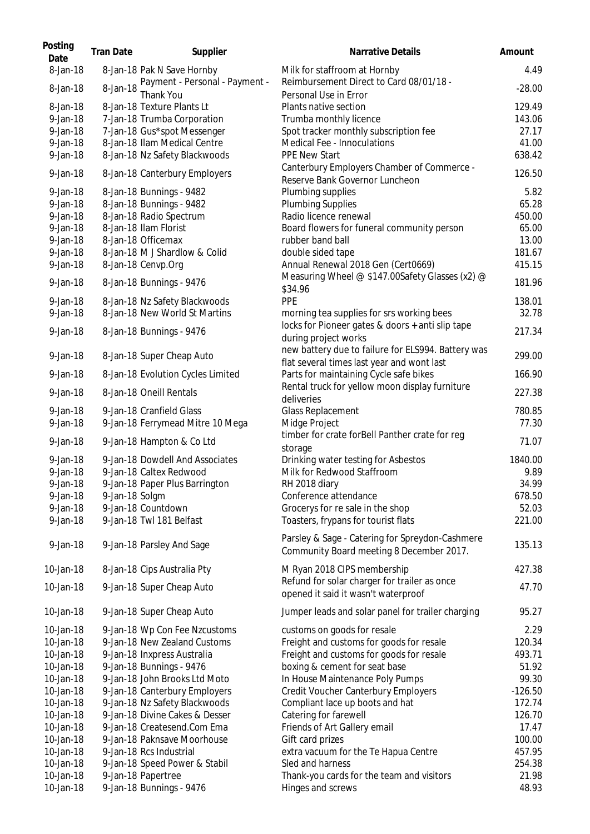| Posting<br>Date | <b>Tran Date</b> | Supplier                                    | Narrative Details                                                                                | Amount    |
|-----------------|------------------|---------------------------------------------|--------------------------------------------------------------------------------------------------|-----------|
| 8-Jan-18        |                  | 8-Jan-18 Pak N Save Hornby                  | Milk for staffroom at Hornby<br>Reimbursement Direct to Card 08/01/18 -                          | 4.49      |
| 8-Jan-18        | 8-Jan-18         | Payment - Personal - Payment -<br>Thank You | Personal Use in Error                                                                            | $-28.00$  |
| 8-Jan-18        |                  | 8-Jan-18 Texture Plants Lt                  | Plants native section                                                                            | 129.49    |
| 9-Jan-18        |                  | 7-Jan-18 Trumba Corporation                 | Trumba monthly licence                                                                           | 143.06    |
| 9-Jan-18        |                  | 7-Jan-18 Gus*spot Messenger                 | Spot tracker monthly subscription fee                                                            | 27.17     |
| 9-Jan-18        |                  | 8-Jan-18 Ilam Medical Centre                | Medical Fee - Innoculations                                                                      | 41.00     |
| 9-Jan-18        |                  | 8-Jan-18 Nz Safety Blackwoods               | <b>PPE New Start</b>                                                                             | 638.42    |
| 9-Jan-18        |                  | 8-Jan-18 Canterbury Employers               | Canterbury Employers Chamber of Commerce -<br>Reserve Bank Governor Luncheon                     | 126.50    |
| 9-Jan-18        |                  | 8-Jan-18 Bunnings - 9482                    | Plumbing supplies                                                                                | 5.82      |
| $9$ -Jan-18     |                  | 8-Jan-18 Bunnings - 9482                    | <b>Plumbing Supplies</b>                                                                         | 65.28     |
| 9-Jan-18        |                  | 8-Jan-18 Radio Spectrum                     | Radio licence renewal                                                                            | 450.00    |
| $9$ -Jan-18     |                  | 8-Jan-18 Ilam Florist                       | Board flowers for funeral community person                                                       | 65.00     |
| $9$ -Jan-18     |                  | 8-Jan-18 Officemax                          | rubber band ball                                                                                 | 13.00     |
| $9$ -Jan-18     |                  | 8-Jan-18 M J Shardlow & Colid               | double sided tape                                                                                | 181.67    |
| 9-Jan-18        |                  | 8-Jan-18 Cenvp.Org                          | Annual Renewal 2018 Gen (Cert0669)                                                               | 415.15    |
| 9-Jan-18        |                  | 8-Jan-18 Bunnings - 9476                    | Measuring Wheel @ \$147.00Safety Glasses (x2) @                                                  | 181.96    |
|                 |                  |                                             | \$34.96                                                                                          |           |
| 9-Jan-18        |                  | 8-Jan-18 Nz Safety Blackwoods               | <b>PPE</b>                                                                                       | 138.01    |
| 9-Jan-18        |                  | 8-Jan-18 New World St Martins               | morning tea supplies for srs working bees                                                        | 32.78     |
| 9-Jan-18        |                  | 8-Jan-18 Bunnings - 9476                    | locks for Pioneer gates & doors + anti slip tape<br>during project works                         | 217.34    |
| 9-Jan-18        |                  | 8-Jan-18 Super Cheap Auto                   | new battery due to failure for ELS994. Battery was<br>flat several times last year and wont last | 299.00    |
| $9$ -Jan-18     |                  | 8-Jan-18 Evolution Cycles Limited           | Parts for maintaining Cycle safe bikes                                                           | 166.90    |
| 9-Jan-18        |                  | 8-Jan-18 Oneill Rentals                     | Rental truck for yellow moon display furniture<br>deliveries                                     | 227.38    |
| $9$ -Jan-18     |                  | 9-Jan-18 Cranfield Glass                    | <b>Glass Replacement</b>                                                                         | 780.85    |
| 9-Jan-18        |                  | 9-Jan-18 Ferrymead Mitre 10 Mega            | Midge Project                                                                                    | 77.30     |
|                 |                  |                                             | timber for crate forBell Panther crate for reg                                                   |           |
| 9-Jan-18        |                  | 9-Jan-18 Hampton & Co Ltd                   | storage                                                                                          | 71.07     |
| 9-Jan-18        |                  | 9-Jan-18 Dowdell And Associates             | Drinking water testing for Asbestos                                                              | 1840.00   |
| 9-Jan-18        |                  | 9-Jan-18 Caltex Redwood                     | Milk for Redwood Staffroom                                                                       | 9.89      |
| 9-Jan-18        |                  | 9-Jan-18 Paper Plus Barrington              | RH 2018 diary                                                                                    | 34.99     |
| 9-Jan-18        | 9-Jan-18 Solgm   |                                             | Conference attendance                                                                            | 678.50    |
| 9-Jan-18        |                  | 9-Jan-18 Countdown                          | Grocerys for re sale in the shop                                                                 | 52.03     |
| 9-Jan-18        |                  | 9-Jan-18 Twl 181 Belfast                    | Toasters, frypans for tourist flats                                                              | 221.00    |
| 9-Jan-18        |                  | 9-Jan-18 Parsley And Sage                   | Parsley & Sage - Catering for Spreydon-Cashmere<br>Community Board meeting 8 December 2017.      | 135.13    |
| 10-Jan-18       |                  | 8-Jan-18 Cips Australia Pty                 | M Ryan 2018 CIPS membership                                                                      | 427.38    |
| 10-Jan-18       |                  | 9-Jan-18 Super Cheap Auto                   | Refund for solar charger for trailer as once<br>opened it said it wasn't waterproof              | 47.70     |
| 10-Jan-18       |                  | 9-Jan-18 Super Cheap Auto                   | Jumper leads and solar panel for trailer charging                                                | 95.27     |
| 10-Jan-18       |                  | 9-Jan-18 Wp Con Fee Nzcustoms               | customs on goods for resale                                                                      | 2.29      |
| 10-Jan-18       |                  | 9-Jan-18 New Zealand Customs                | Freight and customs for goods for resale                                                         | 120.34    |
| 10-Jan-18       |                  | 9-Jan-18 Inxpress Australia                 | Freight and customs for goods for resale                                                         | 493.71    |
| 10-Jan-18       |                  | 9-Jan-18 Bunnings - 9476                    | boxing & cement for seat base                                                                    | 51.92     |
| 10-Jan-18       |                  | 9-Jan-18 John Brooks Ltd Moto               | In House Maintenance Poly Pumps                                                                  | 99.30     |
| 10-Jan-18       |                  | 9-Jan-18 Canterbury Employers               | Credit Voucher Canterbury Employers                                                              | $-126.50$ |
| 10-Jan-18       |                  | 9-Jan-18 Nz Safety Blackwoods               | Compliant lace up boots and hat                                                                  | 172.74    |
| 10-Jan-18       |                  | 9-Jan-18 Divine Cakes & Desser              |                                                                                                  | 126.70    |
|                 |                  |                                             | Catering for farewell                                                                            |           |
| 10-Jan-18       |                  | 9-Jan-18 Createsend.Com Ema                 | Friends of Art Gallery email                                                                     | 17.47     |
| 10-Jan-18       |                  | 9-Jan-18 Paknsave Moorhouse                 | Gift card prizes                                                                                 | 100.00    |
| 10-Jan-18       |                  | 9-Jan-18 Rcs Industrial                     | extra vacuum for the Te Hapua Centre                                                             | 457.95    |
| 10-Jan-18       |                  | 9-Jan-18 Speed Power & Stabil               | Sled and harness                                                                                 | 254.38    |
| 10-Jan-18       |                  | 9-Jan-18 Papertree                          | Thank-you cards for the team and visitors                                                        | 21.98     |
| 10-Jan-18       |                  | 9-Jan-18 Bunnings - 9476                    | Hinges and screws                                                                                | 48.93     |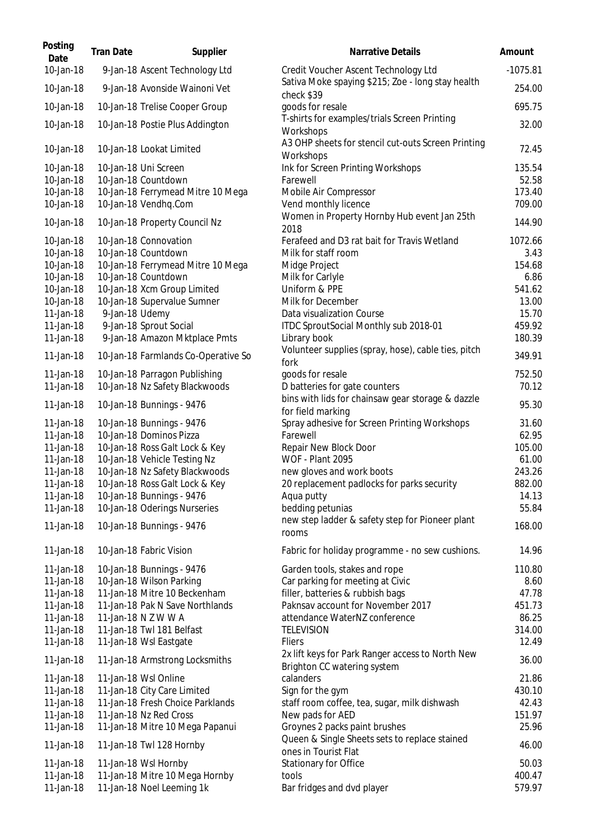| Posting<br>Date        | <b>Tran Date</b> | Supplier                                                   | <b>Narrative Details</b>                                                        | Amount          |
|------------------------|------------------|------------------------------------------------------------|---------------------------------------------------------------------------------|-----------------|
| 10-Jan-18              |                  | 9-Jan-18 Ascent Technology Ltd                             | Credit Voucher Ascent Technology Ltd                                            | $-1075.81$      |
| 10-Jan-18              |                  | 9-Jan-18 Avonside Wainoni Vet                              | Sativa Moke spaying \$215; Zoe - long stay health<br>check \$39                 | 254.00          |
| 10-Jan-18              |                  | 10-Jan-18 Trelise Cooper Group                             | goods for resale                                                                | 695.75          |
| 10-Jan-18              |                  | 10-Jan-18 Postie Plus Addington                            | T-shirts for examples/trials Screen Printing<br>Workshops                       | 32.00           |
| 10-Jan-18              |                  | 10-Jan-18 Lookat Limited                                   | A3 OHP sheets for stencil cut-outs Screen Printing<br>Workshops                 | 72.45           |
| 10-Jan-18<br>10-Jan-18 |                  | 10-Jan-18 Uni Screen<br>10-Jan-18 Countdown                | Ink for Screen Printing Workshops<br>Farewell                                   | 135.54<br>52.58 |
| 10-Jan-18              |                  | 10-Jan-18 Ferrymead Mitre 10 Mega                          | Mobile Air Compressor                                                           | 173.40          |
| 10-Jan-18              |                  | 10-Jan-18 Vendhq.Com                                       | Vend monthly licence                                                            | 709.00          |
| 10-Jan-18              |                  | 10-Jan-18 Property Council Nz                              | Women in Property Hornby Hub event Jan 25th<br>2018                             | 144.90          |
| 10-Jan-18              |                  | 10-Jan-18 Connovation                                      | Ferafeed and D3 rat bait for Travis Wetland                                     | 1072.66         |
| 10-Jan-18              |                  | 10-Jan-18 Countdown                                        | Milk for staff room                                                             | 3.43            |
| 10-Jan-18              |                  | 10-Jan-18 Ferrymead Mitre 10 Mega                          | Midge Project                                                                   | 154.68          |
| 10-Jan-18              |                  | 10-Jan-18 Countdown<br>10-Jan-18 Xcm Group Limited         | Milk for Carlyle<br>Uniform & PPE                                               | 6.86<br>541.62  |
| 10-Jan-18<br>10-Jan-18 |                  | 10-Jan-18 Supervalue Sumner                                | Milk for December                                                               | 13.00           |
| 11-Jan-18              | 9-Jan-18 Udemy   |                                                            | Data visualization Course                                                       | 15.70           |
| 11-Jan-18              |                  | 9-Jan-18 Sprout Social                                     | ITDC SproutSocial Monthly sub 2018-01                                           | 459.92          |
| 11-Jan-18              |                  | 9-Jan-18 Amazon Mktplace Pmts                              | Library book                                                                    | 180.39          |
| 11-Jan-18              |                  | 10-Jan-18 Farmlands Co-Operative So                        | Volunteer supplies (spray, hose), cable ties, pitch<br>fork                     | 349.91          |
| 11-Jan-18              |                  | 10-Jan-18 Parragon Publishing                              | goods for resale                                                                | 752.50          |
| 11-Jan-18              |                  | 10-Jan-18 Nz Safety Blackwoods                             | D batteries for gate counters                                                   | 70.12           |
| 11-Jan-18              |                  | 10-Jan-18 Bunnings - 9476                                  | bins with lids for chainsaw gear storage & dazzle<br>for field marking          | 95.30           |
| 11-Jan-18              |                  | 10-Jan-18 Bunnings - 9476                                  | Spray adhesive for Screen Printing Workshops                                    | 31.60           |
| 11-Jan-18              |                  | 10-Jan-18 Dominos Pizza                                    | Farewell                                                                        | 62.95           |
| 11-Jan-18              |                  | 10-Jan-18 Ross Galt Lock & Key                             | Repair New Block Door                                                           | 105.00          |
| 11-Jan-18              |                  | 10-Jan-18 Vehicle Testing Nz                               | <b>WOF - Plant 2095</b>                                                         | 61.00           |
| 11-Jan-18              |                  | 10-Jan-18 Nz Safety Blackwoods                             | new gloves and work boots                                                       | 243.26          |
| 11-Jan-18              |                  | 10-Jan-18 Ross Galt Lock & Key                             | 20 replacement padlocks for parks security                                      | 882.00          |
| 11-Jan-18<br>11-Jan-18 |                  | 10-Jan-18 Bunnings - 9476<br>10-Jan-18 Oderings Nurseries  | Aqua putty<br>bedding petunias                                                  | 14.13<br>55.84  |
| 11-Jan-18              |                  | 10-Jan-18 Bunnings - 9476                                  | new step ladder & safety step for Pioneer plant<br>rooms                        | 168.00          |
| 11-Jan-18              |                  | 10-Jan-18 Fabric Vision                                    | Fabric for holiday programme - no sew cushions.                                 | 14.96           |
| 11-Jan-18              |                  | 10-Jan-18 Bunnings - 9476                                  | Garden tools, stakes and rope                                                   | 110.80          |
| 11-Jan-18              |                  | 10-Jan-18 Wilson Parking                                   | Car parking for meeting at Civic                                                | 8.60            |
| 11-Jan-18              |                  | 11-Jan-18 Mitre 10 Beckenham                               | filler, batteries & rubbish bags                                                | 47.78           |
| 11-Jan-18              |                  | 11-Jan-18 Pak N Save Northlands                            | Paknsav account for November 2017                                               | 451.73          |
| 11-Jan-18              |                  | 11-Jan-18 N Z W W A                                        | attendance WaterNZ conference                                                   | 86.25           |
| 11-Jan-18              |                  | 11-Jan-18 Twl 181 Belfast                                  | <b>TELEVISION</b>                                                               | 314.00          |
| 11-Jan-18              |                  | 11-Jan-18 Wsl Eastgate                                     | <b>Fliers</b>                                                                   | 12.49           |
| 11-Jan-18              |                  | 11-Jan-18 Armstrong Locksmiths                             | 2x lift keys for Park Ranger access to North New<br>Brighton CC watering system | 36.00           |
| 11-Jan-18              |                  | 11-Jan-18 Wsl Online                                       | calanders                                                                       | 21.86           |
| 11-Jan-18              |                  | 11-Jan-18 City Care Limited                                | Sign for the gym                                                                | 430.10          |
| 11-Jan-18<br>11-Jan-18 |                  | 11-Jan-18 Fresh Choice Parklands<br>11-Jan-18 Nz Red Cross | staff room coffee, tea, sugar, milk dishwash<br>New pads for AED                | 42.43<br>151.97 |
| 11-Jan-18              |                  | 11-Jan-18 Mitre 10 Mega Papanui                            | Groynes 2 packs paint brushes                                                   | 25.96           |
| 11-Jan-18              |                  | 11-Jan-18 Twl 128 Hornby                                   | Queen & Single Sheets sets to replace stained<br>ones in Tourist Flat           | 46.00           |
| 11-Jan-18              |                  | 11-Jan-18 Wsl Hornby                                       | Stationary for Office                                                           | 50.03           |
| 11-Jan-18              |                  | 11-Jan-18 Mitre 10 Mega Hornby                             | tools                                                                           | 400.47          |
| 11-Jan-18              |                  | 11-Jan-18 Noel Leeming 1k                                  | Bar fridges and dvd player                                                      | 579.97          |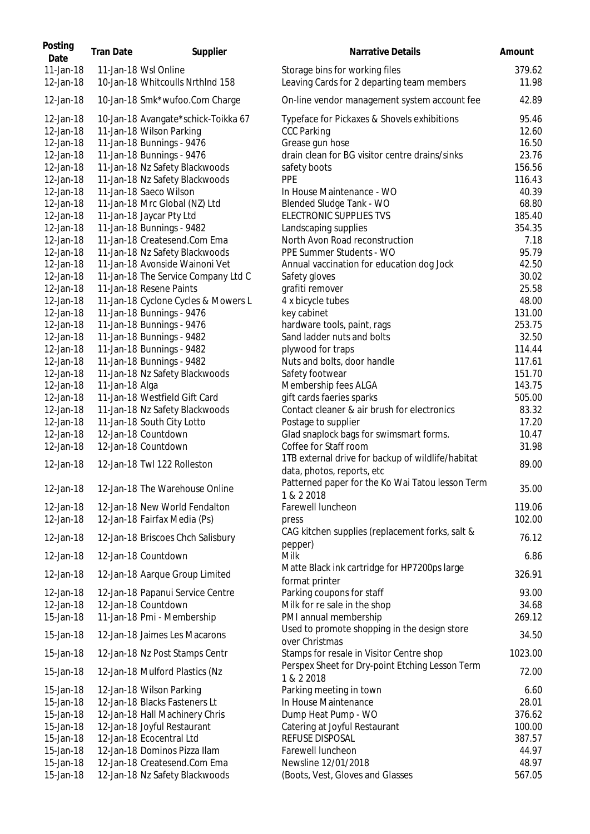| Posting<br>Date        | <b>Tran Date</b> | Supplier                                                 | Narrative Details                                                            | Amount          |
|------------------------|------------------|----------------------------------------------------------|------------------------------------------------------------------------------|-----------------|
| 11-Jan-18<br>12-Jan-18 |                  | 11-Jan-18 Wsl Online<br>10-Jan-18 Whitcoulls Nrthlnd 158 | Storage bins for working files<br>Leaving Cards for 2 departing team members | 379.62<br>11.98 |
| 12-Jan-18              |                  | 10-Jan-18 Smk*wufoo.Com Charge                           | On-line vendor management system account fee                                 | 42.89           |
| 12-Jan-18              |                  | 10-Jan-18 Avangate*schick-Toikka 67                      | Typeface for Pickaxes & Shovels exhibitions                                  | 95.46           |
| 12-Jan-18              |                  | 11-Jan-18 Wilson Parking                                 | <b>CCC Parking</b>                                                           | 12.60           |
| 12-Jan-18              |                  | 11-Jan-18 Bunnings - 9476                                | Grease gun hose                                                              | 16.50           |
| 12-Jan-18              |                  | 11-Jan-18 Bunnings - 9476                                | drain clean for BG visitor centre drains/sinks                               | 23.76           |
| 12-Jan-18              |                  | 11-Jan-18 Nz Safety Blackwoods                           | safety boots                                                                 | 156.56          |
| 12-Jan-18              |                  | 11-Jan-18 Nz Safety Blackwoods                           | <b>PPE</b>                                                                   | 116.43          |
| 12-Jan-18              |                  | 11-Jan-18 Saeco Wilson                                   | In House Maintenance - WO                                                    | 40.39           |
| 12-Jan-18              |                  | 11-Jan-18 Mrc Global (NZ) Ltd                            | Blended Sludge Tank - WO                                                     | 68.80           |
| 12-Jan-18              |                  | 11-Jan-18 Jaycar Pty Ltd                                 | ELECTRONIC SUPPLIES TVS                                                      | 185.40          |
| 12-Jan-18              |                  | 11-Jan-18 Bunnings - 9482                                | Landscaping supplies                                                         | 354.35          |
| 12-Jan-18              |                  | 11-Jan-18 Createsend.Com Ema                             | North Avon Road reconstruction                                               | 7.18            |
| 12-Jan-18              |                  | 11-Jan-18 Nz Safety Blackwoods                           | PPE Summer Students - WO                                                     | 95.79           |
| 12-Jan-18              |                  | 11-Jan-18 Avonside Wainoni Vet                           | Annual vaccination for education dog Jock                                    | 42.50           |
| 12-Jan-18              |                  | 11-Jan-18 The Service Company Ltd C                      | Safety gloves                                                                | 30.02           |
| 12-Jan-18              |                  | 11-Jan-18 Resene Paints                                  | grafiti remover                                                              | 25.58           |
| 12-Jan-18              |                  | 11-Jan-18 Cyclone Cycles & Mowers L                      | 4 x bicycle tubes                                                            | 48.00           |
| 12-Jan-18              |                  | 11-Jan-18 Bunnings - 9476                                | key cabinet                                                                  | 131.00          |
| 12-Jan-18              |                  | 11-Jan-18 Bunnings - 9476                                | hardware tools, paint, rags                                                  | 253.75          |
| 12-Jan-18              |                  | 11-Jan-18 Bunnings - 9482                                | Sand ladder nuts and bolts                                                   | 32.50           |
| 12-Jan-18              |                  | 11-Jan-18 Bunnings - 9482                                | plywood for traps                                                            | 114.44          |
| 12-Jan-18              |                  | 11-Jan-18 Bunnings - 9482                                | Nuts and bolts, door handle                                                  | 117.61          |
| 12-Jan-18              |                  | 11-Jan-18 Nz Safety Blackwoods                           | Safety footwear                                                              | 151.70          |
| 12-Jan-18              | 11-Jan-18 Alga   |                                                          | Membership fees ALGA                                                         | 143.75          |
| 12-Jan-18              |                  | 11-Jan-18 Westfield Gift Card                            | gift cards faeries sparks                                                    | 505.00          |
| 12-Jan-18              |                  | 11-Jan-18 Nz Safety Blackwoods                           | Contact cleaner & air brush for electronics                                  | 83.32           |
| 12-Jan-18              |                  | 11-Jan-18 South City Lotto                               | Postage to supplier                                                          | 17.20           |
| 12-Jan-18              |                  | 12-Jan-18 Countdown                                      | Glad snaplock bags for swimsmart forms.                                      | 10.47           |
| 12-Jan-18              |                  | 12-Jan-18 Countdown                                      | Coffee for Staff room                                                        | 31.98           |
|                        |                  |                                                          | 1TB external drive for backup of wildlife/habitat                            |                 |
| 12-Jan-18              |                  | 12-Jan-18 Twl 122 Rolleston                              | data, photos, reports, etc                                                   | 89.00           |
| 12-Jan-18              |                  | 12-Jan-18 The Warehouse Online                           | Patterned paper for the Ko Wai Tatou lesson Term<br>1 & 2 2018               | 35.00           |
| 12-Jan-18              |                  | 12-Jan-18 New World Fendalton                            | Farewell luncheon                                                            | 119.06          |
| 12-Jan-18              |                  | 12-Jan-18 Fairfax Media (Ps)                             | press                                                                        | 102.00          |
|                        |                  |                                                          | CAG kitchen supplies (replacement forks, salt &                              |                 |
| 12-Jan-18              |                  | 12-Jan-18 Briscoes Chch Salisbury                        | pepper)                                                                      | 76.12           |
| 12-Jan-18              |                  | 12-Jan-18 Countdown                                      | Milk                                                                         | 6.86            |
| 12-Jan-18              |                  | 12-Jan-18 Aarque Group Limited                           | Matte Black ink cartridge for HP7200ps large<br>format printer               | 326.91          |
| 12-Jan-18              |                  | 12-Jan-18 Papanui Service Centre                         | Parking coupons for staff                                                    | 93.00           |
| 12-Jan-18              |                  | 12-Jan-18 Countdown                                      | Milk for re sale in the shop                                                 | 34.68           |
| 15-Jan-18              |                  | 11-Jan-18 Pmi - Membership                               | PMI annual membership                                                        | 269.12          |
| 15-Jan-18              |                  | 12-Jan-18 Jaimes Les Macarons                            | Used to promote shopping in the design store<br>over Christmas               | 34.50           |
| 15-Jan-18              |                  | 12-Jan-18 Nz Post Stamps Centr                           | Stamps for resale in Visitor Centre shop                                     | 1023.00         |
| 15-Jan-18              |                  | 12-Jan-18 Mulford Plastics (Nz                           | Perspex Sheet for Dry-point Etching Lesson Term<br>1 & 2 2018                | 72.00           |
| 15-Jan-18              |                  | 12-Jan-18 Wilson Parking                                 | Parking meeting in town                                                      | 6.60            |
| 15-Jan-18              |                  | 12-Jan-18 Blacks Fasteners Lt                            | In House Maintenance                                                         | 28.01           |
| 15-Jan-18              |                  | 12-Jan-18 Hall Machinery Chris                           | Dump Heat Pump - WO                                                          | 376.62          |
| 15-Jan-18              |                  | 12-Jan-18 Joyful Restaurant                              | Catering at Joyful Restaurant                                                | 100.00          |
| 15-Jan-18              |                  | 12-Jan-18 Ecocentral Ltd                                 | REFUSE DISPOSAL                                                              | 387.57          |
| 15-Jan-18              |                  | 12-Jan-18 Dominos Pizza Ilam                             | Farewell luncheon                                                            | 44.97           |
| 15-Jan-18              |                  | 12-Jan-18 Createsend.Com Ema                             | Newsline 12/01/2018                                                          | 48.97           |
| 15-Jan-18              |                  | 12-Jan-18 Nz Safety Blackwoods                           | (Boots, Vest, Gloves and Glasses                                             | 567.05          |
|                        |                  |                                                          |                                                                              |                 |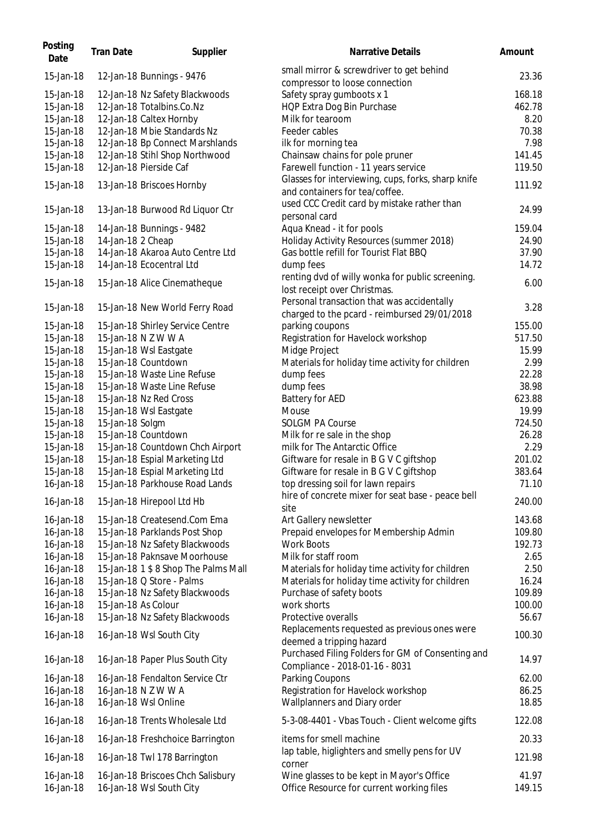| Posting<br>Date        | <b>Tran Date</b>  | Supplier                                                      | <b>Narrative Details</b>                                                               | Amount          |
|------------------------|-------------------|---------------------------------------------------------------|----------------------------------------------------------------------------------------|-----------------|
| 15-Jan-18              |                   | 12-Jan-18 Bunnings - 9476                                     | small mirror & screwdriver to get behind<br>compressor to loose connection             | 23.36           |
| 15-Jan-18              |                   | 12-Jan-18 Nz Safety Blackwoods                                | Safety spray gumboots x 1                                                              | 168.18          |
| 15-Jan-18              |                   | 12-Jan-18 Totalbins.Co.Nz                                     | HQP Extra Dog Bin Purchase                                                             | 462.78          |
| 15-Jan-18              |                   | 12-Jan-18 Caltex Hornby                                       | Milk for tearoom                                                                       | 8.20            |
| 15-Jan-18              |                   | 12-Jan-18 Mbie Standards Nz                                   | Feeder cables                                                                          | 70.38           |
| 15-Jan-18              |                   | 12-Jan-18 Bp Connect Marshlands                               | ilk for morning tea                                                                    | 7.98            |
| 15-Jan-18              |                   | 12-Jan-18 Stihl Shop Northwood                                | Chainsaw chains for pole pruner                                                        | 141.45          |
| 15-Jan-18              |                   | 12-Jan-18 Pierside Caf                                        | Farewell function - 11 years service                                                   | 119.50          |
|                        |                   |                                                               | Glasses for interviewing, cups, forks, sharp knife                                     |                 |
| 15-Jan-18              |                   | 13-Jan-18 Briscoes Hornby                                     | and containers for tea/coffee.                                                         | 111.92          |
| 15-Jan-18              |                   | 13-Jan-18 Burwood Rd Liquor Ctr                               | used CCC Credit card by mistake rather than<br>personal card                           | 24.99           |
| 15-Jan-18              |                   | 14-Jan-18 Bunnings - 9482                                     | Aqua Knead - it for pools                                                              | 159.04          |
| 15-Jan-18              | 14-Jan-18 2 Cheap |                                                               | Holiday Activity Resources (summer 2018)                                               | 24.90           |
| 15-Jan-18              |                   | 14-Jan-18 Akaroa Auto Centre Ltd                              | Gas bottle refill for Tourist Flat BBQ                                                 | 37.90           |
| 15-Jan-18              |                   | 14-Jan-18 Ecocentral Ltd                                      | dump fees                                                                              | 14.72           |
| 15-Jan-18              |                   | 15-Jan-18 Alice Cinematheque                                  | renting dvd of willy wonka for public screening.<br>lost receipt over Christmas.       | 6.00            |
| 15-Jan-18              |                   |                                                               | Personal transaction that was accidentally                                             |                 |
|                        |                   | 15-Jan-18 New World Ferry Road                                | charged to the pcard - reimbursed 29/01/2018                                           | 3.28            |
| 15-Jan-18              |                   | 15-Jan-18 Shirley Service Centre                              | parking coupons                                                                        | 155.00          |
| 15-Jan-18              |                   | 15-Jan-18 N Z W W A                                           | Registration for Havelock workshop                                                     | 517.50          |
| 15-Jan-18              |                   | 15-Jan-18 Wsl Eastgate                                        | Midge Project                                                                          | 15.99           |
| 15-Jan-18              |                   | 15-Jan-18 Countdown                                           | Materials for holiday time activity for children                                       | 2.99            |
| 15-Jan-18              |                   | 15-Jan-18 Waste Line Refuse                                   | dump fees                                                                              | 22.28           |
| 15-Jan-18              |                   | 15-Jan-18 Waste Line Refuse                                   | dump fees                                                                              | 38.98           |
| 15-Jan-18              |                   | 15-Jan-18 Nz Red Cross                                        | <b>Battery for AED</b>                                                                 | 623.88          |
| 15-Jan-18              |                   | 15-Jan-18 Wsl Eastgate                                        | Mouse                                                                                  | 19.99           |
| 15-Jan-18              | 15-Jan-18 Solgm   |                                                               | <b>SOLGM PA Course</b>                                                                 | 724.50          |
| 15-Jan-18              |                   | 15-Jan-18 Countdown                                           | Milk for re sale in the shop                                                           | 26.28           |
| 15-Jan-18              |                   | 15-Jan-18 Countdown Chch Airport                              | milk for The Antarctic Office                                                          | 2.29            |
| 15-Jan-18              |                   | 15-Jan-18 Espial Marketing Ltd                                | Giftware for resale in B G V C giftshop                                                | 201.02          |
| 15-Jan-18              |                   | 15-Jan-18 Espial Marketing Ltd                                | Giftware for resale in B G V C giftshop                                                | 383.64          |
| 16-Jan-18              |                   | 15-Jan-18 Parkhouse Road Lands                                | top dressing soil for lawn repairs                                                     | 71.10           |
| 16-Jan-18              |                   | 15-Jan-18 Hirepool Ltd Hb                                     | hire of concrete mixer for seat base - peace bell<br>site                              | 240.00          |
| 16-Jan-18              |                   | 15-Jan-18 Createsend.Com Ema                                  | Art Gallery newsletter                                                                 | 143.68          |
| 16-Jan-18              |                   | 15-Jan-18 Parklands Post Shop                                 | Prepaid envelopes for Membership Admin                                                 | 109.80          |
| 16-Jan-18              |                   | 15-Jan-18 Nz Safety Blackwoods                                | <b>Work Boots</b>                                                                      | 192.73          |
| 16-Jan-18              |                   | 15-Jan-18 Paknsave Moorhouse                                  | Milk for staff room                                                                    | 2.65            |
| 16-Jan-18              |                   | 15-Jan-18 1 \$ 8 Shop The Palms Mall                          | Materials for holiday time activity for children                                       | 2.50            |
| 16-Jan-18              |                   | 15-Jan-18 Q Store - Palms                                     | Materials for holiday time activity for children                                       | 16.24           |
| 16-Jan-18              |                   | 15-Jan-18 Nz Safety Blackwoods                                | Purchase of safety boots                                                               | 109.89          |
| 16-Jan-18              |                   | 15-Jan-18 As Colour                                           | work shorts                                                                            | 100.00          |
| 16-Jan-18              |                   | 15-Jan-18 Nz Safety Blackwoods                                | Protective overalls                                                                    | 56.67           |
| 16-Jan-18              |                   | 16-Jan-18 Wsl South City                                      | Replacements requested as previous ones were                                           | 100.30          |
| 16-Jan-18              |                   | 16-Jan-18 Paper Plus South City                               | deemed a tripping hazard<br>Purchased Filing Folders for GM of Consenting and          | 14.97           |
|                        |                   |                                                               | Compliance - 2018-01-16 - 8031                                                         |                 |
| 16-Jan-18              |                   | 16-Jan-18 Fendalton Service Ctr                               | Parking Coupons                                                                        | 62.00           |
| 16-Jan-18              |                   | 16-Jan-18 N Z W W A                                           | Registration for Havelock workshop                                                     | 86.25           |
| 16-Jan-18              |                   | 16-Jan-18 Wsl Online                                          | Wallplanners and Diary order                                                           | 18.85           |
| 16-Jan-18              |                   | 16-Jan-18 Trents Wholesale Ltd                                | 5-3-08-4401 - Vbas Touch - Client welcome gifts                                        | 122.08          |
| 16-Jan-18              |                   | 16-Jan-18 Freshchoice Barrington                              | items for smell machine                                                                | 20.33           |
| 16-Jan-18              |                   | 16-Jan-18 Twl 178 Barrington                                  | lap table, higlighters and smelly pens for UV<br>corner                                | 121.98          |
| 16-Jan-18<br>16-Jan-18 |                   | 16-Jan-18 Briscoes Chch Salisbury<br>16-Jan-18 Wsl South City | Wine glasses to be kept in Mayor's Office<br>Office Resource for current working files | 41.97<br>149.15 |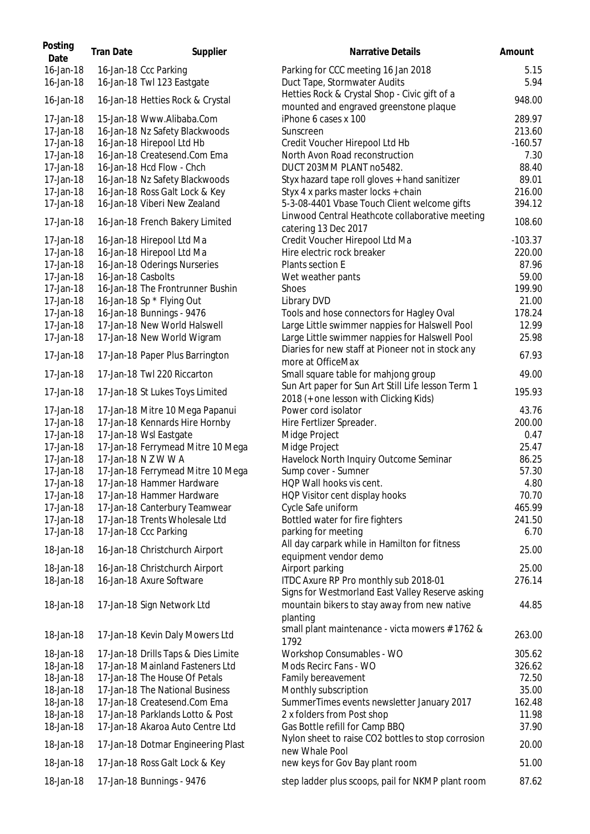| Parking for CCC meeting 16 Jan 2018<br>16-Jan-18 Ccc Parking<br>16-Jan-18<br>16-Jan-18 Twl 123 Eastgate<br>Duct Tape, Stormwater Audits<br>Hetties Rock & Crystal Shop - Civic gift of a<br>16-Jan-18<br>16-Jan-18 Hetties Rock & Crystal<br>mounted and engraved greenstone plaque<br>17-Jan-18<br>15-Jan-18 Www.Alibaba.Com<br>iPhone 6 cases x 100<br>17-Jan-18<br>16-Jan-18 Nz Safety Blackwoods<br>Sunscreen<br>16-Jan-18 Hirepool Ltd Hb<br>17-Jan-18<br>Credit Voucher Hirepool Ltd Hb<br>16-Jan-18 Createsend.Com Ema<br>North Avon Road reconstruction<br>17-Jan-18<br>16-Jan-18 Hcd Flow - Chch<br>DUCT 203MM PLANT no5482.<br>17-Jan-18<br>17-Jan-18<br>16-Jan-18 Nz Safety Blackwoods<br>Styx hazard tape roll gloves + hand sanitizer<br>16-Jan-18 Ross Galt Lock & Key<br>Styx 4 x parks master locks + chain<br>17-Jan-18<br>5-3-08-4401 Vbase Touch Client welcome gifts<br>17-Jan-18<br>16-Jan-18 Viberi New Zealand<br>Linwood Central Heathcote collaborative meeting<br>17-Jan-18<br>16-Jan-18 French Bakery Limited<br>catering 13 Dec 2017<br>17-Jan-18<br>16-Jan-18 Hirepool Ltd Ma<br>Credit Voucher Hirepool Ltd Ma<br>17-Jan-18<br>16-Jan-18 Hirepool Ltd Ma<br>Hire electric rock breaker<br>17-Jan-18<br>16-Jan-18 Oderings Nurseries<br>Plants section E<br>17-Jan-18<br>16-Jan-18 Casbolts<br>Wet weather pants<br>17-Jan-18<br>16-Jan-18 The Frontrunner Bushin<br><b>Shoes</b><br>16-Jan-18 Sp * Flying Out<br>17-Jan-18<br>Library DVD<br>17-Jan-18<br>16-Jan-18 Bunnings - 9476<br>Tools and hose connectors for Hagley Oval<br>17-Jan-18 New World Halswell<br>17-Jan-18<br>Large Little swimmer nappies for Halswell Pool<br>Large Little swimmer nappies for Halswell Pool<br>17-Jan-18<br>17-Jan-18 New World Wigram<br>Diaries for new staff at Pioneer not in stock any<br>17-Jan-18<br>17-Jan-18 Paper Plus Barrington<br>more at OfficeMax<br>17-Jan-18<br>17-Jan-18 Twl 220 Riccarton<br>Small square table for mahjong group<br>Sun Art paper for Sun Art Still Life lesson Term 1<br>17-Jan-18<br>17-Jan-18 St Lukes Toys Limited<br>2018 (+ one lesson with Clicking Kids)<br>Power cord isolator<br>17-Jan-18<br>17-Jan-18 Mitre 10 Mega Papanui<br>17-Jan-18<br>17-Jan-18 Kennards Hire Hornby<br>Hire Fertlizer Spreader.<br>17-Jan-18<br>17-Jan-18 Wsl Eastgate<br>Midge Project<br>17-Jan-18<br>17-Jan-18 Ferrymead Mitre 10 Mega<br>Midge Project<br>17-Jan-18 N Z W W A<br>17-Jan-18<br>Havelock North Inquiry Outcome Seminar<br>Sump cover - Sumner<br>17-Jan-18<br>17-Jan-18 Ferrymead Mitre 10 Mega<br>HQP Wall hooks vis cent.<br>17-Jan-18<br>17-Jan-18 Hammer Hardware<br>17-Jan-18 Hammer Hardware<br>17-Jan-18<br>HQP Visitor cent display hooks<br>17-Jan-18<br>17-Jan-18 Canterbury Teamwear<br>Cycle Safe uniform<br>17-Jan-18<br>17-Jan-18 Trents Wholesale Ltd<br>Bottled water for fire fighters<br>17-Jan-18<br>17-Jan-18 Ccc Parking<br>parking for meeting<br>All day carpark while in Hamilton for fitness<br>18-Jan-18<br>16-Jan-18 Christchurch Airport<br>equipment vendor demo<br>18-Jan-18<br>16-Jan-18 Christchurch Airport<br>Airport parking<br>ITDC Axure RP Pro monthly sub 2018-01<br>18-Jan-18<br>16-Jan-18 Axure Software<br>Signs for Westmorland East Valley Reserve asking<br>mountain bikers to stay away from new native<br>18-Jan-18<br>17-Jan-18 Sign Network Ltd<br>planting<br>small plant maintenance - victa mowers #1762 &<br>18-Jan-18<br>17-Jan-18 Kevin Daly Mowers Ltd<br>1792<br>Workshop Consumables - WO<br>18-Jan-18<br>17-Jan-18 Drills Taps & Dies Limite<br>17-Jan-18 Mainland Fasteners Ltd<br>Mods Recirc Fans - WO<br>18-Jan-18<br>Family bereavement<br>18-Jan-18<br>17-Jan-18 The House Of Petals | Posting<br>Date | <b>Tran Date</b> | Supplier | Narrative Details | Amount         |
|--------------------------------------------------------------------------------------------------------------------------------------------------------------------------------------------------------------------------------------------------------------------------------------------------------------------------------------------------------------------------------------------------------------------------------------------------------------------------------------------------------------------------------------------------------------------------------------------------------------------------------------------------------------------------------------------------------------------------------------------------------------------------------------------------------------------------------------------------------------------------------------------------------------------------------------------------------------------------------------------------------------------------------------------------------------------------------------------------------------------------------------------------------------------------------------------------------------------------------------------------------------------------------------------------------------------------------------------------------------------------------------------------------------------------------------------------------------------------------------------------------------------------------------------------------------------------------------------------------------------------------------------------------------------------------------------------------------------------------------------------------------------------------------------------------------------------------------------------------------------------------------------------------------------------------------------------------------------------------------------------------------------------------------------------------------------------------------------------------------------------------------------------------------------------------------------------------------------------------------------------------------------------------------------------------------------------------------------------------------------------------------------------------------------------------------------------------------------------------------------------------------------------------------------------------------------------------------------------------------------------------------------------------------------------------------------------------------------------------------------------------------------------------------------------------------------------------------------------------------------------------------------------------------------------------------------------------------------------------------------------------------------------------------------------------------------------------------------------------------------------------------------------------------------------------------------------------------------------------------------------------------------------------------------------------------------------------------------------------------------------------------------------------------------------------------------------------------------------------------------------------------------------------------------------------------------------------------------------------------------------------------------------------------------------------------------------------------------|-----------------|------------------|----------|-------------------|----------------|
|                                                                                                                                                                                                                                                                                                                                                                                                                                                                                                                                                                                                                                                                                                                                                                                                                                                                                                                                                                                                                                                                                                                                                                                                                                                                                                                                                                                                                                                                                                                                                                                                                                                                                                                                                                                                                                                                                                                                                                                                                                                                                                                                                                                                                                                                                                                                                                                                                                                                                                                                                                                                                                                                                                                                                                                                                                                                                                                                                                                                                                                                                                                                                                                                                                                                                                                                                                                                                                                                                                                                                                                                                                                                                                                    | 16-Jan-18       |                  |          |                   | 5.15           |
|                                                                                                                                                                                                                                                                                                                                                                                                                                                                                                                                                                                                                                                                                                                                                                                                                                                                                                                                                                                                                                                                                                                                                                                                                                                                                                                                                                                                                                                                                                                                                                                                                                                                                                                                                                                                                                                                                                                                                                                                                                                                                                                                                                                                                                                                                                                                                                                                                                                                                                                                                                                                                                                                                                                                                                                                                                                                                                                                                                                                                                                                                                                                                                                                                                                                                                                                                                                                                                                                                                                                                                                                                                                                                                                    |                 |                  |          |                   | 5.94<br>948.00 |
|                                                                                                                                                                                                                                                                                                                                                                                                                                                                                                                                                                                                                                                                                                                                                                                                                                                                                                                                                                                                                                                                                                                                                                                                                                                                                                                                                                                                                                                                                                                                                                                                                                                                                                                                                                                                                                                                                                                                                                                                                                                                                                                                                                                                                                                                                                                                                                                                                                                                                                                                                                                                                                                                                                                                                                                                                                                                                                                                                                                                                                                                                                                                                                                                                                                                                                                                                                                                                                                                                                                                                                                                                                                                                                                    |                 |                  |          |                   | 289.97         |
|                                                                                                                                                                                                                                                                                                                                                                                                                                                                                                                                                                                                                                                                                                                                                                                                                                                                                                                                                                                                                                                                                                                                                                                                                                                                                                                                                                                                                                                                                                                                                                                                                                                                                                                                                                                                                                                                                                                                                                                                                                                                                                                                                                                                                                                                                                                                                                                                                                                                                                                                                                                                                                                                                                                                                                                                                                                                                                                                                                                                                                                                                                                                                                                                                                                                                                                                                                                                                                                                                                                                                                                                                                                                                                                    |                 |                  |          |                   | 213.60         |
|                                                                                                                                                                                                                                                                                                                                                                                                                                                                                                                                                                                                                                                                                                                                                                                                                                                                                                                                                                                                                                                                                                                                                                                                                                                                                                                                                                                                                                                                                                                                                                                                                                                                                                                                                                                                                                                                                                                                                                                                                                                                                                                                                                                                                                                                                                                                                                                                                                                                                                                                                                                                                                                                                                                                                                                                                                                                                                                                                                                                                                                                                                                                                                                                                                                                                                                                                                                                                                                                                                                                                                                                                                                                                                                    |                 |                  |          |                   | $-160.57$      |
|                                                                                                                                                                                                                                                                                                                                                                                                                                                                                                                                                                                                                                                                                                                                                                                                                                                                                                                                                                                                                                                                                                                                                                                                                                                                                                                                                                                                                                                                                                                                                                                                                                                                                                                                                                                                                                                                                                                                                                                                                                                                                                                                                                                                                                                                                                                                                                                                                                                                                                                                                                                                                                                                                                                                                                                                                                                                                                                                                                                                                                                                                                                                                                                                                                                                                                                                                                                                                                                                                                                                                                                                                                                                                                                    |                 |                  |          |                   | 7.30           |
|                                                                                                                                                                                                                                                                                                                                                                                                                                                                                                                                                                                                                                                                                                                                                                                                                                                                                                                                                                                                                                                                                                                                                                                                                                                                                                                                                                                                                                                                                                                                                                                                                                                                                                                                                                                                                                                                                                                                                                                                                                                                                                                                                                                                                                                                                                                                                                                                                                                                                                                                                                                                                                                                                                                                                                                                                                                                                                                                                                                                                                                                                                                                                                                                                                                                                                                                                                                                                                                                                                                                                                                                                                                                                                                    |                 |                  |          |                   | 88.40          |
|                                                                                                                                                                                                                                                                                                                                                                                                                                                                                                                                                                                                                                                                                                                                                                                                                                                                                                                                                                                                                                                                                                                                                                                                                                                                                                                                                                                                                                                                                                                                                                                                                                                                                                                                                                                                                                                                                                                                                                                                                                                                                                                                                                                                                                                                                                                                                                                                                                                                                                                                                                                                                                                                                                                                                                                                                                                                                                                                                                                                                                                                                                                                                                                                                                                                                                                                                                                                                                                                                                                                                                                                                                                                                                                    |                 |                  |          |                   | 89.01          |
|                                                                                                                                                                                                                                                                                                                                                                                                                                                                                                                                                                                                                                                                                                                                                                                                                                                                                                                                                                                                                                                                                                                                                                                                                                                                                                                                                                                                                                                                                                                                                                                                                                                                                                                                                                                                                                                                                                                                                                                                                                                                                                                                                                                                                                                                                                                                                                                                                                                                                                                                                                                                                                                                                                                                                                                                                                                                                                                                                                                                                                                                                                                                                                                                                                                                                                                                                                                                                                                                                                                                                                                                                                                                                                                    |                 |                  |          |                   | 216.00         |
|                                                                                                                                                                                                                                                                                                                                                                                                                                                                                                                                                                                                                                                                                                                                                                                                                                                                                                                                                                                                                                                                                                                                                                                                                                                                                                                                                                                                                                                                                                                                                                                                                                                                                                                                                                                                                                                                                                                                                                                                                                                                                                                                                                                                                                                                                                                                                                                                                                                                                                                                                                                                                                                                                                                                                                                                                                                                                                                                                                                                                                                                                                                                                                                                                                                                                                                                                                                                                                                                                                                                                                                                                                                                                                                    |                 |                  |          |                   | 394.12         |
|                                                                                                                                                                                                                                                                                                                                                                                                                                                                                                                                                                                                                                                                                                                                                                                                                                                                                                                                                                                                                                                                                                                                                                                                                                                                                                                                                                                                                                                                                                                                                                                                                                                                                                                                                                                                                                                                                                                                                                                                                                                                                                                                                                                                                                                                                                                                                                                                                                                                                                                                                                                                                                                                                                                                                                                                                                                                                                                                                                                                                                                                                                                                                                                                                                                                                                                                                                                                                                                                                                                                                                                                                                                                                                                    |                 |                  |          |                   | 108.60         |
|                                                                                                                                                                                                                                                                                                                                                                                                                                                                                                                                                                                                                                                                                                                                                                                                                                                                                                                                                                                                                                                                                                                                                                                                                                                                                                                                                                                                                                                                                                                                                                                                                                                                                                                                                                                                                                                                                                                                                                                                                                                                                                                                                                                                                                                                                                                                                                                                                                                                                                                                                                                                                                                                                                                                                                                                                                                                                                                                                                                                                                                                                                                                                                                                                                                                                                                                                                                                                                                                                                                                                                                                                                                                                                                    |                 |                  |          |                   | $-103.37$      |
|                                                                                                                                                                                                                                                                                                                                                                                                                                                                                                                                                                                                                                                                                                                                                                                                                                                                                                                                                                                                                                                                                                                                                                                                                                                                                                                                                                                                                                                                                                                                                                                                                                                                                                                                                                                                                                                                                                                                                                                                                                                                                                                                                                                                                                                                                                                                                                                                                                                                                                                                                                                                                                                                                                                                                                                                                                                                                                                                                                                                                                                                                                                                                                                                                                                                                                                                                                                                                                                                                                                                                                                                                                                                                                                    |                 |                  |          |                   | 220.00         |
|                                                                                                                                                                                                                                                                                                                                                                                                                                                                                                                                                                                                                                                                                                                                                                                                                                                                                                                                                                                                                                                                                                                                                                                                                                                                                                                                                                                                                                                                                                                                                                                                                                                                                                                                                                                                                                                                                                                                                                                                                                                                                                                                                                                                                                                                                                                                                                                                                                                                                                                                                                                                                                                                                                                                                                                                                                                                                                                                                                                                                                                                                                                                                                                                                                                                                                                                                                                                                                                                                                                                                                                                                                                                                                                    |                 |                  |          |                   | 87.96          |
|                                                                                                                                                                                                                                                                                                                                                                                                                                                                                                                                                                                                                                                                                                                                                                                                                                                                                                                                                                                                                                                                                                                                                                                                                                                                                                                                                                                                                                                                                                                                                                                                                                                                                                                                                                                                                                                                                                                                                                                                                                                                                                                                                                                                                                                                                                                                                                                                                                                                                                                                                                                                                                                                                                                                                                                                                                                                                                                                                                                                                                                                                                                                                                                                                                                                                                                                                                                                                                                                                                                                                                                                                                                                                                                    |                 |                  |          |                   | 59.00          |
|                                                                                                                                                                                                                                                                                                                                                                                                                                                                                                                                                                                                                                                                                                                                                                                                                                                                                                                                                                                                                                                                                                                                                                                                                                                                                                                                                                                                                                                                                                                                                                                                                                                                                                                                                                                                                                                                                                                                                                                                                                                                                                                                                                                                                                                                                                                                                                                                                                                                                                                                                                                                                                                                                                                                                                                                                                                                                                                                                                                                                                                                                                                                                                                                                                                                                                                                                                                                                                                                                                                                                                                                                                                                                                                    |                 |                  |          |                   | 199.90         |
|                                                                                                                                                                                                                                                                                                                                                                                                                                                                                                                                                                                                                                                                                                                                                                                                                                                                                                                                                                                                                                                                                                                                                                                                                                                                                                                                                                                                                                                                                                                                                                                                                                                                                                                                                                                                                                                                                                                                                                                                                                                                                                                                                                                                                                                                                                                                                                                                                                                                                                                                                                                                                                                                                                                                                                                                                                                                                                                                                                                                                                                                                                                                                                                                                                                                                                                                                                                                                                                                                                                                                                                                                                                                                                                    |                 |                  |          |                   | 21.00          |
|                                                                                                                                                                                                                                                                                                                                                                                                                                                                                                                                                                                                                                                                                                                                                                                                                                                                                                                                                                                                                                                                                                                                                                                                                                                                                                                                                                                                                                                                                                                                                                                                                                                                                                                                                                                                                                                                                                                                                                                                                                                                                                                                                                                                                                                                                                                                                                                                                                                                                                                                                                                                                                                                                                                                                                                                                                                                                                                                                                                                                                                                                                                                                                                                                                                                                                                                                                                                                                                                                                                                                                                                                                                                                                                    |                 |                  |          |                   | 178.24         |
|                                                                                                                                                                                                                                                                                                                                                                                                                                                                                                                                                                                                                                                                                                                                                                                                                                                                                                                                                                                                                                                                                                                                                                                                                                                                                                                                                                                                                                                                                                                                                                                                                                                                                                                                                                                                                                                                                                                                                                                                                                                                                                                                                                                                                                                                                                                                                                                                                                                                                                                                                                                                                                                                                                                                                                                                                                                                                                                                                                                                                                                                                                                                                                                                                                                                                                                                                                                                                                                                                                                                                                                                                                                                                                                    |                 |                  |          |                   | 12.99          |
|                                                                                                                                                                                                                                                                                                                                                                                                                                                                                                                                                                                                                                                                                                                                                                                                                                                                                                                                                                                                                                                                                                                                                                                                                                                                                                                                                                                                                                                                                                                                                                                                                                                                                                                                                                                                                                                                                                                                                                                                                                                                                                                                                                                                                                                                                                                                                                                                                                                                                                                                                                                                                                                                                                                                                                                                                                                                                                                                                                                                                                                                                                                                                                                                                                                                                                                                                                                                                                                                                                                                                                                                                                                                                                                    |                 |                  |          |                   | 25.98          |
|                                                                                                                                                                                                                                                                                                                                                                                                                                                                                                                                                                                                                                                                                                                                                                                                                                                                                                                                                                                                                                                                                                                                                                                                                                                                                                                                                                                                                                                                                                                                                                                                                                                                                                                                                                                                                                                                                                                                                                                                                                                                                                                                                                                                                                                                                                                                                                                                                                                                                                                                                                                                                                                                                                                                                                                                                                                                                                                                                                                                                                                                                                                                                                                                                                                                                                                                                                                                                                                                                                                                                                                                                                                                                                                    |                 |                  |          |                   | 67.93          |
|                                                                                                                                                                                                                                                                                                                                                                                                                                                                                                                                                                                                                                                                                                                                                                                                                                                                                                                                                                                                                                                                                                                                                                                                                                                                                                                                                                                                                                                                                                                                                                                                                                                                                                                                                                                                                                                                                                                                                                                                                                                                                                                                                                                                                                                                                                                                                                                                                                                                                                                                                                                                                                                                                                                                                                                                                                                                                                                                                                                                                                                                                                                                                                                                                                                                                                                                                                                                                                                                                                                                                                                                                                                                                                                    |                 |                  |          |                   | 49.00          |
|                                                                                                                                                                                                                                                                                                                                                                                                                                                                                                                                                                                                                                                                                                                                                                                                                                                                                                                                                                                                                                                                                                                                                                                                                                                                                                                                                                                                                                                                                                                                                                                                                                                                                                                                                                                                                                                                                                                                                                                                                                                                                                                                                                                                                                                                                                                                                                                                                                                                                                                                                                                                                                                                                                                                                                                                                                                                                                                                                                                                                                                                                                                                                                                                                                                                                                                                                                                                                                                                                                                                                                                                                                                                                                                    |                 |                  |          |                   | 195.93         |
|                                                                                                                                                                                                                                                                                                                                                                                                                                                                                                                                                                                                                                                                                                                                                                                                                                                                                                                                                                                                                                                                                                                                                                                                                                                                                                                                                                                                                                                                                                                                                                                                                                                                                                                                                                                                                                                                                                                                                                                                                                                                                                                                                                                                                                                                                                                                                                                                                                                                                                                                                                                                                                                                                                                                                                                                                                                                                                                                                                                                                                                                                                                                                                                                                                                                                                                                                                                                                                                                                                                                                                                                                                                                                                                    |                 |                  |          |                   | 43.76          |
|                                                                                                                                                                                                                                                                                                                                                                                                                                                                                                                                                                                                                                                                                                                                                                                                                                                                                                                                                                                                                                                                                                                                                                                                                                                                                                                                                                                                                                                                                                                                                                                                                                                                                                                                                                                                                                                                                                                                                                                                                                                                                                                                                                                                                                                                                                                                                                                                                                                                                                                                                                                                                                                                                                                                                                                                                                                                                                                                                                                                                                                                                                                                                                                                                                                                                                                                                                                                                                                                                                                                                                                                                                                                                                                    |                 |                  |          |                   | 200.00         |
|                                                                                                                                                                                                                                                                                                                                                                                                                                                                                                                                                                                                                                                                                                                                                                                                                                                                                                                                                                                                                                                                                                                                                                                                                                                                                                                                                                                                                                                                                                                                                                                                                                                                                                                                                                                                                                                                                                                                                                                                                                                                                                                                                                                                                                                                                                                                                                                                                                                                                                                                                                                                                                                                                                                                                                                                                                                                                                                                                                                                                                                                                                                                                                                                                                                                                                                                                                                                                                                                                                                                                                                                                                                                                                                    |                 |                  |          |                   | 0.47           |
|                                                                                                                                                                                                                                                                                                                                                                                                                                                                                                                                                                                                                                                                                                                                                                                                                                                                                                                                                                                                                                                                                                                                                                                                                                                                                                                                                                                                                                                                                                                                                                                                                                                                                                                                                                                                                                                                                                                                                                                                                                                                                                                                                                                                                                                                                                                                                                                                                                                                                                                                                                                                                                                                                                                                                                                                                                                                                                                                                                                                                                                                                                                                                                                                                                                                                                                                                                                                                                                                                                                                                                                                                                                                                                                    |                 |                  |          |                   | 25.47          |
|                                                                                                                                                                                                                                                                                                                                                                                                                                                                                                                                                                                                                                                                                                                                                                                                                                                                                                                                                                                                                                                                                                                                                                                                                                                                                                                                                                                                                                                                                                                                                                                                                                                                                                                                                                                                                                                                                                                                                                                                                                                                                                                                                                                                                                                                                                                                                                                                                                                                                                                                                                                                                                                                                                                                                                                                                                                                                                                                                                                                                                                                                                                                                                                                                                                                                                                                                                                                                                                                                                                                                                                                                                                                                                                    |                 |                  |          |                   | 86.25          |
|                                                                                                                                                                                                                                                                                                                                                                                                                                                                                                                                                                                                                                                                                                                                                                                                                                                                                                                                                                                                                                                                                                                                                                                                                                                                                                                                                                                                                                                                                                                                                                                                                                                                                                                                                                                                                                                                                                                                                                                                                                                                                                                                                                                                                                                                                                                                                                                                                                                                                                                                                                                                                                                                                                                                                                                                                                                                                                                                                                                                                                                                                                                                                                                                                                                                                                                                                                                                                                                                                                                                                                                                                                                                                                                    |                 |                  |          |                   | 57.30          |
|                                                                                                                                                                                                                                                                                                                                                                                                                                                                                                                                                                                                                                                                                                                                                                                                                                                                                                                                                                                                                                                                                                                                                                                                                                                                                                                                                                                                                                                                                                                                                                                                                                                                                                                                                                                                                                                                                                                                                                                                                                                                                                                                                                                                                                                                                                                                                                                                                                                                                                                                                                                                                                                                                                                                                                                                                                                                                                                                                                                                                                                                                                                                                                                                                                                                                                                                                                                                                                                                                                                                                                                                                                                                                                                    |                 |                  |          |                   | 4.80           |
|                                                                                                                                                                                                                                                                                                                                                                                                                                                                                                                                                                                                                                                                                                                                                                                                                                                                                                                                                                                                                                                                                                                                                                                                                                                                                                                                                                                                                                                                                                                                                                                                                                                                                                                                                                                                                                                                                                                                                                                                                                                                                                                                                                                                                                                                                                                                                                                                                                                                                                                                                                                                                                                                                                                                                                                                                                                                                                                                                                                                                                                                                                                                                                                                                                                                                                                                                                                                                                                                                                                                                                                                                                                                                                                    |                 |                  |          |                   | 70.70          |
|                                                                                                                                                                                                                                                                                                                                                                                                                                                                                                                                                                                                                                                                                                                                                                                                                                                                                                                                                                                                                                                                                                                                                                                                                                                                                                                                                                                                                                                                                                                                                                                                                                                                                                                                                                                                                                                                                                                                                                                                                                                                                                                                                                                                                                                                                                                                                                                                                                                                                                                                                                                                                                                                                                                                                                                                                                                                                                                                                                                                                                                                                                                                                                                                                                                                                                                                                                                                                                                                                                                                                                                                                                                                                                                    |                 |                  |          |                   | 465.99         |
|                                                                                                                                                                                                                                                                                                                                                                                                                                                                                                                                                                                                                                                                                                                                                                                                                                                                                                                                                                                                                                                                                                                                                                                                                                                                                                                                                                                                                                                                                                                                                                                                                                                                                                                                                                                                                                                                                                                                                                                                                                                                                                                                                                                                                                                                                                                                                                                                                                                                                                                                                                                                                                                                                                                                                                                                                                                                                                                                                                                                                                                                                                                                                                                                                                                                                                                                                                                                                                                                                                                                                                                                                                                                                                                    |                 |                  |          |                   | 241.50         |
|                                                                                                                                                                                                                                                                                                                                                                                                                                                                                                                                                                                                                                                                                                                                                                                                                                                                                                                                                                                                                                                                                                                                                                                                                                                                                                                                                                                                                                                                                                                                                                                                                                                                                                                                                                                                                                                                                                                                                                                                                                                                                                                                                                                                                                                                                                                                                                                                                                                                                                                                                                                                                                                                                                                                                                                                                                                                                                                                                                                                                                                                                                                                                                                                                                                                                                                                                                                                                                                                                                                                                                                                                                                                                                                    |                 |                  |          |                   | 6.70           |
|                                                                                                                                                                                                                                                                                                                                                                                                                                                                                                                                                                                                                                                                                                                                                                                                                                                                                                                                                                                                                                                                                                                                                                                                                                                                                                                                                                                                                                                                                                                                                                                                                                                                                                                                                                                                                                                                                                                                                                                                                                                                                                                                                                                                                                                                                                                                                                                                                                                                                                                                                                                                                                                                                                                                                                                                                                                                                                                                                                                                                                                                                                                                                                                                                                                                                                                                                                                                                                                                                                                                                                                                                                                                                                                    |                 |                  |          |                   | 25.00          |
|                                                                                                                                                                                                                                                                                                                                                                                                                                                                                                                                                                                                                                                                                                                                                                                                                                                                                                                                                                                                                                                                                                                                                                                                                                                                                                                                                                                                                                                                                                                                                                                                                                                                                                                                                                                                                                                                                                                                                                                                                                                                                                                                                                                                                                                                                                                                                                                                                                                                                                                                                                                                                                                                                                                                                                                                                                                                                                                                                                                                                                                                                                                                                                                                                                                                                                                                                                                                                                                                                                                                                                                                                                                                                                                    |                 |                  |          |                   | 25.00          |
|                                                                                                                                                                                                                                                                                                                                                                                                                                                                                                                                                                                                                                                                                                                                                                                                                                                                                                                                                                                                                                                                                                                                                                                                                                                                                                                                                                                                                                                                                                                                                                                                                                                                                                                                                                                                                                                                                                                                                                                                                                                                                                                                                                                                                                                                                                                                                                                                                                                                                                                                                                                                                                                                                                                                                                                                                                                                                                                                                                                                                                                                                                                                                                                                                                                                                                                                                                                                                                                                                                                                                                                                                                                                                                                    |                 |                  |          |                   | 276.14         |
|                                                                                                                                                                                                                                                                                                                                                                                                                                                                                                                                                                                                                                                                                                                                                                                                                                                                                                                                                                                                                                                                                                                                                                                                                                                                                                                                                                                                                                                                                                                                                                                                                                                                                                                                                                                                                                                                                                                                                                                                                                                                                                                                                                                                                                                                                                                                                                                                                                                                                                                                                                                                                                                                                                                                                                                                                                                                                                                                                                                                                                                                                                                                                                                                                                                                                                                                                                                                                                                                                                                                                                                                                                                                                                                    |                 |                  |          |                   | 44.85          |
|                                                                                                                                                                                                                                                                                                                                                                                                                                                                                                                                                                                                                                                                                                                                                                                                                                                                                                                                                                                                                                                                                                                                                                                                                                                                                                                                                                                                                                                                                                                                                                                                                                                                                                                                                                                                                                                                                                                                                                                                                                                                                                                                                                                                                                                                                                                                                                                                                                                                                                                                                                                                                                                                                                                                                                                                                                                                                                                                                                                                                                                                                                                                                                                                                                                                                                                                                                                                                                                                                                                                                                                                                                                                                                                    |                 |                  |          |                   | 263.00         |
|                                                                                                                                                                                                                                                                                                                                                                                                                                                                                                                                                                                                                                                                                                                                                                                                                                                                                                                                                                                                                                                                                                                                                                                                                                                                                                                                                                                                                                                                                                                                                                                                                                                                                                                                                                                                                                                                                                                                                                                                                                                                                                                                                                                                                                                                                                                                                                                                                                                                                                                                                                                                                                                                                                                                                                                                                                                                                                                                                                                                                                                                                                                                                                                                                                                                                                                                                                                                                                                                                                                                                                                                                                                                                                                    |                 |                  |          |                   | 305.62         |
|                                                                                                                                                                                                                                                                                                                                                                                                                                                                                                                                                                                                                                                                                                                                                                                                                                                                                                                                                                                                                                                                                                                                                                                                                                                                                                                                                                                                                                                                                                                                                                                                                                                                                                                                                                                                                                                                                                                                                                                                                                                                                                                                                                                                                                                                                                                                                                                                                                                                                                                                                                                                                                                                                                                                                                                                                                                                                                                                                                                                                                                                                                                                                                                                                                                                                                                                                                                                                                                                                                                                                                                                                                                                                                                    |                 |                  |          |                   | 326.62         |
|                                                                                                                                                                                                                                                                                                                                                                                                                                                                                                                                                                                                                                                                                                                                                                                                                                                                                                                                                                                                                                                                                                                                                                                                                                                                                                                                                                                                                                                                                                                                                                                                                                                                                                                                                                                                                                                                                                                                                                                                                                                                                                                                                                                                                                                                                                                                                                                                                                                                                                                                                                                                                                                                                                                                                                                                                                                                                                                                                                                                                                                                                                                                                                                                                                                                                                                                                                                                                                                                                                                                                                                                                                                                                                                    |                 |                  |          |                   | 72.50          |
| 18-Jan-18<br>17-Jan-18 The National Business<br>Monthly subscription                                                                                                                                                                                                                                                                                                                                                                                                                                                                                                                                                                                                                                                                                                                                                                                                                                                                                                                                                                                                                                                                                                                                                                                                                                                                                                                                                                                                                                                                                                                                                                                                                                                                                                                                                                                                                                                                                                                                                                                                                                                                                                                                                                                                                                                                                                                                                                                                                                                                                                                                                                                                                                                                                                                                                                                                                                                                                                                                                                                                                                                                                                                                                                                                                                                                                                                                                                                                                                                                                                                                                                                                                                               |                 |                  |          |                   | 35.00          |
| SummerTimes events newsletter January 2017<br>18-Jan-18<br>17-Jan-18 Createsend.Com Ema                                                                                                                                                                                                                                                                                                                                                                                                                                                                                                                                                                                                                                                                                                                                                                                                                                                                                                                                                                                                                                                                                                                                                                                                                                                                                                                                                                                                                                                                                                                                                                                                                                                                                                                                                                                                                                                                                                                                                                                                                                                                                                                                                                                                                                                                                                                                                                                                                                                                                                                                                                                                                                                                                                                                                                                                                                                                                                                                                                                                                                                                                                                                                                                                                                                                                                                                                                                                                                                                                                                                                                                                                            |                 |                  |          |                   | 162.48         |
| 2 x folders from Post shop<br>18-Jan-18<br>17-Jan-18 Parklands Lotto & Post                                                                                                                                                                                                                                                                                                                                                                                                                                                                                                                                                                                                                                                                                                                                                                                                                                                                                                                                                                                                                                                                                                                                                                                                                                                                                                                                                                                                                                                                                                                                                                                                                                                                                                                                                                                                                                                                                                                                                                                                                                                                                                                                                                                                                                                                                                                                                                                                                                                                                                                                                                                                                                                                                                                                                                                                                                                                                                                                                                                                                                                                                                                                                                                                                                                                                                                                                                                                                                                                                                                                                                                                                                        |                 |                  |          |                   | 11.98          |
| Gas Bottle refill for Camp BBQ<br>18-Jan-18<br>17-Jan-18 Akaroa Auto Centre Ltd                                                                                                                                                                                                                                                                                                                                                                                                                                                                                                                                                                                                                                                                                                                                                                                                                                                                                                                                                                                                                                                                                                                                                                                                                                                                                                                                                                                                                                                                                                                                                                                                                                                                                                                                                                                                                                                                                                                                                                                                                                                                                                                                                                                                                                                                                                                                                                                                                                                                                                                                                                                                                                                                                                                                                                                                                                                                                                                                                                                                                                                                                                                                                                                                                                                                                                                                                                                                                                                                                                                                                                                                                                    |                 |                  |          |                   | 37.90          |
| Nylon sheet to raise CO2 bottles to stop corrosion<br>18-Jan-18<br>17-Jan-18 Dotmar Engineering Plast<br>new Whale Pool                                                                                                                                                                                                                                                                                                                                                                                                                                                                                                                                                                                                                                                                                                                                                                                                                                                                                                                                                                                                                                                                                                                                                                                                                                                                                                                                                                                                                                                                                                                                                                                                                                                                                                                                                                                                                                                                                                                                                                                                                                                                                                                                                                                                                                                                                                                                                                                                                                                                                                                                                                                                                                                                                                                                                                                                                                                                                                                                                                                                                                                                                                                                                                                                                                                                                                                                                                                                                                                                                                                                                                                            |                 |                  |          |                   | 20.00          |
| 18-Jan-18<br>17-Jan-18 Ross Galt Lock & Key<br>new keys for Gov Bay plant room                                                                                                                                                                                                                                                                                                                                                                                                                                                                                                                                                                                                                                                                                                                                                                                                                                                                                                                                                                                                                                                                                                                                                                                                                                                                                                                                                                                                                                                                                                                                                                                                                                                                                                                                                                                                                                                                                                                                                                                                                                                                                                                                                                                                                                                                                                                                                                                                                                                                                                                                                                                                                                                                                                                                                                                                                                                                                                                                                                                                                                                                                                                                                                                                                                                                                                                                                                                                                                                                                                                                                                                                                                     |                 |                  |          |                   | 51.00          |
| 18-Jan-18<br>17-Jan-18 Bunnings - 9476<br>step ladder plus scoops, pail for NKMP plant room                                                                                                                                                                                                                                                                                                                                                                                                                                                                                                                                                                                                                                                                                                                                                                                                                                                                                                                                                                                                                                                                                                                                                                                                                                                                                                                                                                                                                                                                                                                                                                                                                                                                                                                                                                                                                                                                                                                                                                                                                                                                                                                                                                                                                                                                                                                                                                                                                                                                                                                                                                                                                                                                                                                                                                                                                                                                                                                                                                                                                                                                                                                                                                                                                                                                                                                                                                                                                                                                                                                                                                                                                        |                 |                  |          |                   | 87.62          |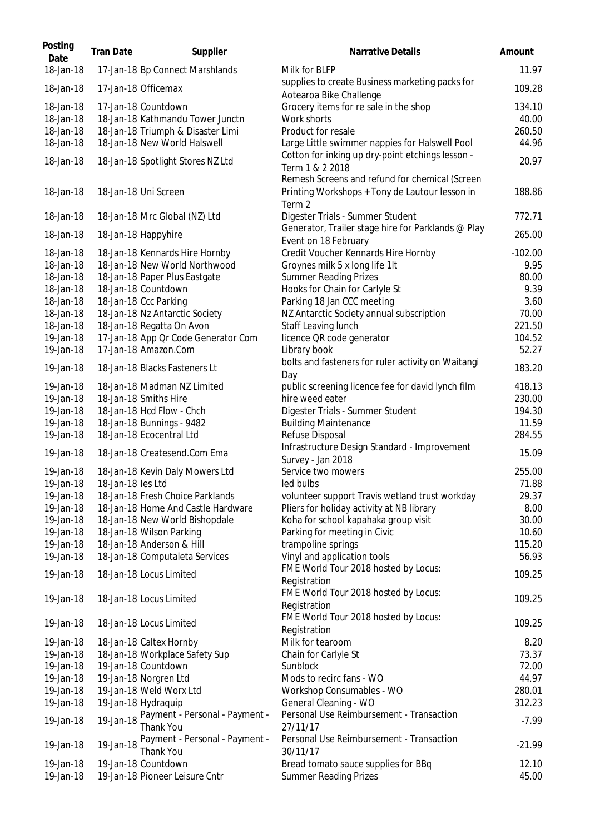| Posting<br>Date                     | <b>Tran Date</b>  | Supplier                                                                                     | Narrative Details                                                                                          | Amount                    |
|-------------------------------------|-------------------|----------------------------------------------------------------------------------------------|------------------------------------------------------------------------------------------------------------|---------------------------|
| 18-Jan-18                           |                   | 17-Jan-18 Bp Connect Marshlands                                                              | Milk for BLFP                                                                                              | 11.97                     |
| 18-Jan-18                           |                   | 17-Jan-18 Officemax                                                                          | supplies to create Business marketing packs for<br>Aotearoa Bike Challenge                                 | 109.28                    |
| 18-Jan-18<br>18-Jan-18<br>18-Jan-18 |                   | 17-Jan-18 Countdown<br>18-Jan-18 Kathmandu Tower Junctn<br>18-Jan-18 Triumph & Disaster Limi | Grocery items for re sale in the shop<br>Work shorts<br>Product for resale                                 | 134.10<br>40.00<br>260.50 |
| 18-Jan-18                           |                   | 18-Jan-18 New World Halswell                                                                 | Large Little swimmer nappies for Halswell Pool                                                             | 44.96                     |
| 18-Jan-18                           |                   | 18-Jan-18 Spotlight Stores NZ Ltd                                                            | Cotton for inking up dry-point etchings lesson -<br>Term 1 & 2 2018                                        | 20.97                     |
| 18-Jan-18                           |                   | 18-Jan-18 Uni Screen                                                                         | Remesh Screens and refund for chemical (Screen<br>Printing Workshops + Tony de Lautour lesson in<br>Term 2 | 188.86                    |
| 18-Jan-18                           |                   | 18-Jan-18 Mrc Global (NZ) Ltd                                                                | Digester Trials - Summer Student                                                                           | 772.71                    |
| 18-Jan-18                           |                   | 18-Jan-18 Happyhire                                                                          | Generator, Trailer stage hire for Parklands @ Play                                                         | 265.00                    |
| 18-Jan-18                           |                   | 18-Jan-18 Kennards Hire Hornby                                                               | Event on 18 February<br>Credit Voucher Kennards Hire Hornby                                                | $-102.00$                 |
| 18-Jan-18                           |                   | 18-Jan-18 New World Northwood                                                                | Groynes milk 5 x long life 1lt                                                                             | 9.95                      |
| 18-Jan-18                           |                   | 18-Jan-18 Paper Plus Eastgate                                                                | <b>Summer Reading Prizes</b>                                                                               | 80.00                     |
| 18-Jan-18                           |                   | 18-Jan-18 Countdown                                                                          | Hooks for Chain for Carlyle St                                                                             | 9.39                      |
| 18-Jan-18                           |                   | 18-Jan-18 Ccc Parking                                                                        | Parking 18 Jan CCC meeting                                                                                 | 3.60                      |
| 18-Jan-18                           |                   | 18-Jan-18 Nz Antarctic Society                                                               | NZ Antarctic Society annual subscription                                                                   | 70.00                     |
| 18-Jan-18                           |                   | 18-Jan-18 Regatta On Avon                                                                    | Staff Leaving lunch                                                                                        | 221.50                    |
| 19-Jan-18                           |                   | 17-Jan-18 App Or Code Generator Com                                                          | licence QR code generator                                                                                  | 104.52                    |
| 19-Jan-18                           |                   | 17-Jan-18 Amazon.Com                                                                         | Library book                                                                                               | 52.27                     |
|                                     |                   |                                                                                              | bolts and fasteners for ruler activity on Waitangi                                                         |                           |
| 19-Jan-18                           |                   | 18-Jan-18 Blacks Fasteners Lt                                                                | Day                                                                                                        | 183.20                    |
| 19-Jan-18                           |                   | 18-Jan-18 Madman NZ Limited                                                                  | public screening licence fee for david lynch film                                                          | 418.13                    |
| 19-Jan-18                           |                   | 18-Jan-18 Smiths Hire                                                                        | hire weed eater                                                                                            | 230.00                    |
| 19-Jan-18                           |                   | 18-Jan-18 Hcd Flow - Chch                                                                    | Digester Trials - Summer Student                                                                           | 194.30                    |
| 19-Jan-18                           |                   | 18-Jan-18 Bunnings - 9482                                                                    | <b>Building Maintenance</b>                                                                                | 11.59                     |
| 19-Jan-18                           |                   | 18-Jan-18 Ecocentral Ltd                                                                     | Refuse Disposal                                                                                            | 284.55                    |
| 19-Jan-18                           |                   | 18-Jan-18 Createsend.Com Ema                                                                 | Infrastructure Design Standard - Improvement<br>Survey - Jan 2018                                          | 15.09                     |
| 19-Jan-18                           |                   | 18-Jan-18 Kevin Daly Mowers Ltd                                                              | Service two mowers                                                                                         | 255.00                    |
| 19-Jan-18                           | 18-Jan-18 les Ltd |                                                                                              | led bulbs                                                                                                  | 71.88                     |
| 19-Jan-18                           |                   | 18-Jan-18 Fresh Choice Parklands                                                             |                                                                                                            | 29.37                     |
|                                     |                   |                                                                                              | volunteer support Travis wetland trust workday                                                             |                           |
| 19-Jan-18                           |                   | 18-Jan-18 Home And Castle Hardware                                                           | Pliers for holiday activity at NB library                                                                  | 8.00                      |
| 19-Jan-18                           |                   | 18-Jan-18 New World Bishopdale                                                               | Koha for school kapahaka group visit                                                                       | 30.00                     |
| 19-Jan-18                           |                   | 18-Jan-18 Wilson Parking                                                                     | Parking for meeting in Civic                                                                               | 10.60                     |
| 19-Jan-18                           |                   | 18-Jan-18 Anderson & Hill                                                                    | trampoline springs                                                                                         | 115.20                    |
| 19-Jan-18                           |                   | 18-Jan-18 Computaleta Services                                                               | Vinyl and application tools                                                                                | 56.93                     |
| 19-Jan-18                           |                   | 18-Jan-18 Locus Limited                                                                      | FME World Tour 2018 hosted by Locus:<br>Registration                                                       | 109.25                    |
| 19-Jan-18                           |                   | 18-Jan-18 Locus Limited                                                                      | FME World Tour 2018 hosted by Locus:<br>Registration                                                       | 109.25                    |
| 19-Jan-18                           |                   | 18-Jan-18 Locus Limited                                                                      | FME World Tour 2018 hosted by Locus:<br>Registration                                                       | 109.25                    |
| 19-Jan-18                           |                   | 18-Jan-18 Caltex Hornby                                                                      | Milk for tearoom                                                                                           | 8.20                      |
| 19-Jan-18                           |                   | 18-Jan-18 Workplace Safety Sup                                                               | Chain for Carlyle St                                                                                       | 73.37                     |
| 19-Jan-18                           |                   | 19-Jan-18 Countdown                                                                          | Sunblock                                                                                                   | 72.00                     |
| 19-Jan-18                           |                   | 19-Jan-18 Norgren Ltd                                                                        | Mods to recirc fans - WO                                                                                   | 44.97                     |
| 19-Jan-18                           |                   | 19-Jan-18 Weld Worx Ltd                                                                      | Workshop Consumables - WO                                                                                  | 280.01                    |
| 19-Jan-18                           |                   | 19-Jan-18 Hydraquip                                                                          | General Cleaning - WO                                                                                      | 312.23                    |
| 19-Jan-18                           | 19-Jan-18         | Payment - Personal - Payment -<br>Thank You                                                  | Personal Use Reimbursement - Transaction<br>27/11/17                                                       | $-7.99$                   |
| 19-Jan-18                           | 19-Jan-18         | Payment - Personal - Payment -                                                               | Personal Use Reimbursement - Transaction                                                                   | $-21.99$                  |
|                                     |                   | Thank You                                                                                    | 30/11/17                                                                                                   |                           |
| 19-Jan-18                           |                   | 19-Jan-18 Countdown                                                                          | Bread tomato sauce supplies for BBq                                                                        | 12.10                     |
| 19-Jan-18                           |                   | 19-Jan-18 Pioneer Leisure Cntr                                                               | Summer Reading Prizes                                                                                      | 45.00                     |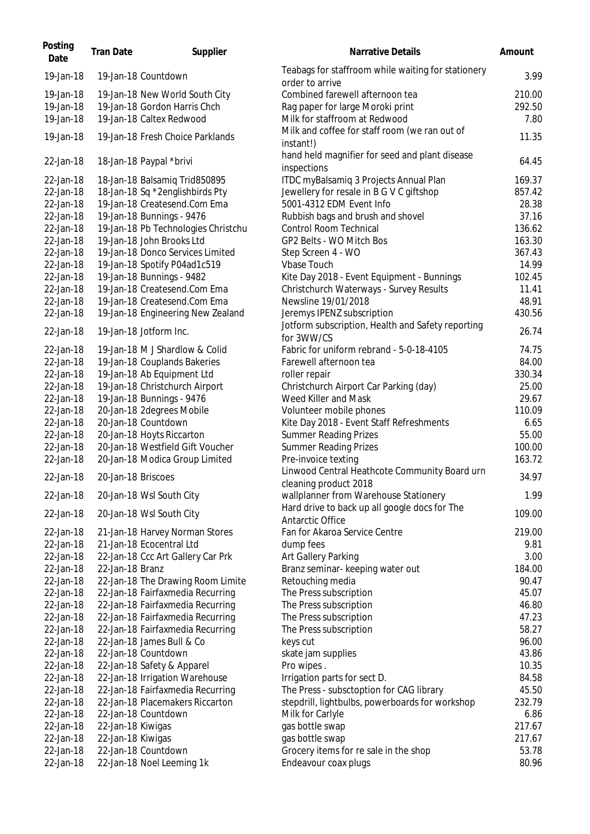| Posting<br>Date | <b>Tran Date</b>   | Supplier                            | Narrative Details                                                                      | Amount          |
|-----------------|--------------------|-------------------------------------|----------------------------------------------------------------------------------------|-----------------|
| 19-Jan-18       |                    | 19-Jan-18 Countdown                 | Teabags for staffroom while waiting for stationery<br>order to arrive                  | 3.99            |
| 19-Jan-18       |                    | 19-Jan-18 New World South City      | Combined farewell afternoon tea                                                        | 210.00          |
| 19-Jan-18       |                    | 19-Jan-18 Gordon Harris Chch        | Rag paper for large Moroki print                                                       | 292.50          |
| 19-Jan-18       |                    | 19-Jan-18 Caltex Redwood            | Milk for staffroom at Redwood                                                          | 7.80            |
| 19-Jan-18       |                    | 19-Jan-18 Fresh Choice Parklands    | Milk and coffee for staff room (we ran out of                                          | 11.35           |
| 22-Jan-18       |                    | 18-Jan-18 Paypal *brivi             | instant!)<br>hand held magnifier for seed and plant disease<br>inspections             | 64.45           |
| 22-Jan-18       |                    | 18-Jan-18 Balsamiq Trid850895       | ITDC myBalsamiq 3 Projects Annual Plan                                                 | 169.37          |
| 22-Jan-18       |                    | 18-Jan-18 Sq *2englishbirds Pty     | Jewellery for resale in B G V C giftshop                                               | 857.42          |
| 22-Jan-18       |                    | 19-Jan-18 Createsend.Com Ema        | 5001-4312 EDM Event Info                                                               | 28.38           |
| 22-Jan-18       |                    | 19-Jan-18 Bunnings - 9476           | Rubbish bags and brush and shovel                                                      | 37.16           |
| 22-Jan-18       |                    | 19-Jan-18 Pb Technologies Christchu | Control Room Technical                                                                 | 136.62          |
| 22-Jan-18       |                    | 19-Jan-18 John Brooks Ltd           | GP2 Belts - WO Mitch Bos                                                               | 163.30          |
| 22-Jan-18       |                    | 19-Jan-18 Donco Services Limited    | Step Screen 4 - WO                                                                     | 367.43          |
| 22-Jan-18       |                    | 19-Jan-18 Spotify P04ad1c519        | <b>Vbase Touch</b>                                                                     | 14.99           |
| 22-Jan-18       |                    | 19-Jan-18 Bunnings - 9482           | Kite Day 2018 - Event Equipment - Bunnings                                             | 102.45          |
| 22-Jan-18       |                    | 19-Jan-18 Createsend.Com Ema        | Christchurch Waterways - Survey Results                                                | 11.41           |
| 22-Jan-18       |                    | 19-Jan-18 Createsend.Com Ema        | Newsline 19/01/2018                                                                    | 48.91           |
| 22-Jan-18       |                    | 19-Jan-18 Engineering New Zealand   | Jeremys IPENZ subscription                                                             | 430.56          |
| 22-Jan-18       |                    | 19-Jan-18 Jotform Inc.              | Jotform subscription, Health and Safety reporting                                      | 26.74           |
|                 |                    | 19-Jan-18 M J Shardlow & Colid      | for 3WW/CS<br>Fabric for uniform rebrand - 5-0-18-4105                                 |                 |
| 22-Jan-18       |                    |                                     |                                                                                        | 74.75           |
| 22-Jan-18       |                    | 19-Jan-18 Couplands Bakeries        | Farewell afternoon tea                                                                 | 84.00<br>330.34 |
| 22-Jan-18       |                    | 19-Jan-18 Ab Equipment Ltd          | roller repair                                                                          |                 |
| 22-Jan-18       |                    | 19-Jan-18 Christchurch Airport      | Christchurch Airport Car Parking (day)                                                 | 25.00           |
| 22-Jan-18       |                    | 19-Jan-18 Bunnings - 9476           | Weed Killer and Mask                                                                   | 29.67           |
| 22-Jan-18       |                    | 20-Jan-18 2degrees Mobile           | Volunteer mobile phones                                                                | 110.09          |
| 22-Jan-18       |                    | 20-Jan-18 Countdown                 | Kite Day 2018 - Event Staff Refreshments                                               | 6.65            |
| 22-Jan-18       |                    | 20-Jan-18 Hoyts Riccarton           | <b>Summer Reading Prizes</b>                                                           | 55.00           |
| 22-Jan-18       |                    | 20-Jan-18 Westfield Gift Voucher    | <b>Summer Reading Prizes</b>                                                           | 100.00          |
| 22-Jan-18       |                    | 20-Jan-18 Modica Group Limited      | Pre-invoice texting                                                                    | 163.72          |
| 22-Jan-18       | 20-Jan-18 Briscoes |                                     | Linwood Central Heathcote Community Board urn<br>cleaning product 2018                 | 34.97           |
| 22-Jan-18       |                    | 20-Jan-18 Wsl South City            | wallplanner from Warehouse Stationery<br>Hard drive to back up all google docs for The | 1.99            |
| 22-Jan-18       |                    | 20-Jan-18 Wsl South City            | Antarctic Office                                                                       | 109.00          |
| 22-Jan-18       |                    | 21-Jan-18 Harvey Norman Stores      | Fan for Akaroa Service Centre                                                          | 219.00          |
| 22-Jan-18       |                    | 21-Jan-18 Ecocentral Ltd            | dump fees                                                                              | 9.81            |
| 22-Jan-18       |                    | 22-Jan-18 Ccc Art Gallery Car Prk   | Art Gallery Parking                                                                    | 3.00            |
| 22-Jan-18       | 22-Jan-18 Branz    |                                     | Branz seminar- keeping water out                                                       | 184.00          |
| 22-Jan-18       |                    | 22-Jan-18 The Drawing Room Limite   | Retouching media                                                                       | 90.47           |
| 22-Jan-18       |                    | 22-Jan-18 Fairfaxmedia Recurring    | The Press subscription                                                                 | 45.07           |
| 22-Jan-18       |                    | 22-Jan-18 Fairfaxmedia Recurring    | The Press subscription                                                                 | 46.80           |
| 22-Jan-18       |                    | 22-Jan-18 Fairfaxmedia Recurring    | The Press subscription                                                                 | 47.23           |
| 22-Jan-18       |                    | 22-Jan-18 Fairfaxmedia Recurring    | The Press subscription                                                                 | 58.27           |
| 22-Jan-18       |                    | 22-Jan-18 James Bull & Co           | keys cut                                                                               | 96.00           |
| 22-Jan-18       |                    | 22-Jan-18 Countdown                 | skate jam supplies                                                                     | 43.86           |
| 22-Jan-18       |                    | 22-Jan-18 Safety & Apparel          | Pro wipes.                                                                             | 10.35           |
| 22-Jan-18       |                    | 22-Jan-18 Irrigation Warehouse      | Irrigation parts for sect D.                                                           | 84.58           |
| 22-Jan-18       |                    | 22-Jan-18 Fairfaxmedia Recurring    | The Press - subsctoption for CAG library                                               | 45.50           |
| 22-Jan-18       |                    | 22-Jan-18 Placemakers Riccarton     | stepdrill, lightbulbs, powerboards for workshop                                        | 232.79          |
| 22-Jan-18       |                    | 22-Jan-18 Countdown                 | Milk for Carlyle                                                                       | 6.86            |
| 22-Jan-18       | 22-Jan-18 Kiwigas  |                                     | gas bottle swap                                                                        | 217.67          |
| 22-Jan-18       | 22-Jan-18 Kiwigas  |                                     | gas bottle swap                                                                        | 217.67          |
| 22-Jan-18       |                    | 22-Jan-18 Countdown                 | Grocery items for re sale in the shop                                                  | 53.78           |
| 22-Jan-18       |                    | 22-Jan-18 Noel Leeming 1k           | Endeavour coax plugs                                                                   | 80.96           |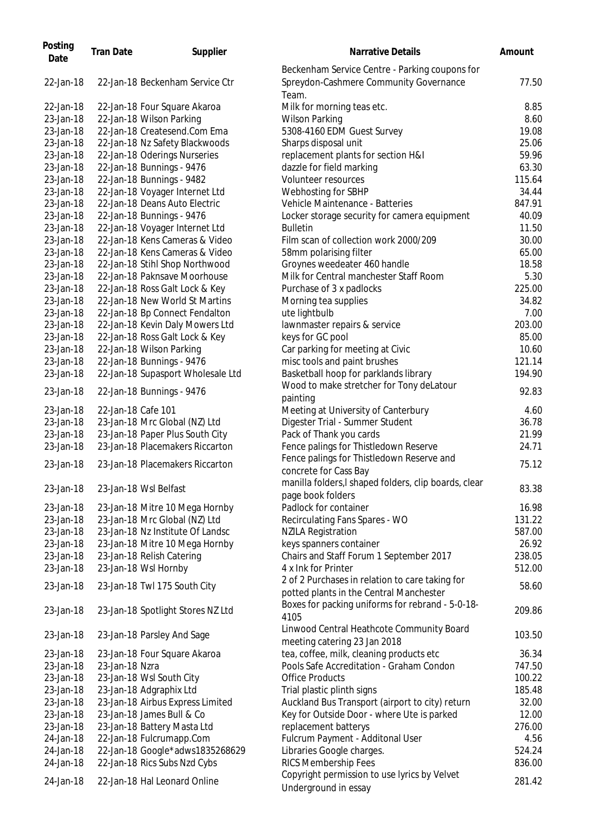| Posting<br>Date | <b>Tran Date</b>   | Supplier                          | Narrative Details                                                                                 | Amount |
|-----------------|--------------------|-----------------------------------|---------------------------------------------------------------------------------------------------|--------|
| 22-Jan-18       |                    | 22-Jan-18 Beckenham Service Ctr   | Beckenham Service Centre - Parking coupons for<br>Spreydon-Cashmere Community Governance<br>Team. | 77.50  |
| 22-Jan-18       |                    | 22-Jan-18 Four Square Akaroa      | Milk for morning teas etc.                                                                        | 8.85   |
| 23-Jan-18       |                    | 22-Jan-18 Wilson Parking          | <b>Wilson Parking</b>                                                                             | 8.60   |
| 23-Jan-18       |                    | 22-Jan-18 Createsend.Com Ema      | 5308-4160 EDM Guest Survey                                                                        | 19.08  |
| 23-Jan-18       |                    | 22-Jan-18 Nz Safety Blackwoods    | Sharps disposal unit                                                                              | 25.06  |
| 23-Jan-18       |                    | 22-Jan-18 Oderings Nurseries      | replacement plants for section H&I                                                                | 59.96  |
| 23-Jan-18       |                    | 22-Jan-18 Bunnings - 9476         | dazzle for field marking                                                                          | 63.30  |
| 23-Jan-18       |                    | 22-Jan-18 Bunnings - 9482         | Volunteer resources                                                                               | 115.64 |
| 23-Jan-18       |                    | 22-Jan-18 Voyager Internet Ltd    | Webhosting for SBHP                                                                               | 34.44  |
| 23-Jan-18       |                    | 22-Jan-18 Deans Auto Electric     | Vehicle Maintenance - Batteries                                                                   | 847.91 |
| 23-Jan-18       |                    | 22-Jan-18 Bunnings - 9476         | Locker storage security for camera equipment                                                      | 40.09  |
| 23-Jan-18       |                    | 22-Jan-18 Voyager Internet Ltd    | <b>Bulletin</b>                                                                                   | 11.50  |
| 23-Jan-18       |                    | 22-Jan-18 Kens Cameras & Video    | Film scan of collection work 2000/209                                                             | 30.00  |
| 23-Jan-18       |                    | 22-Jan-18 Kens Cameras & Video    | 58mm polarising filter                                                                            | 65.00  |
| 23-Jan-18       |                    | 22-Jan-18 Stihl Shop Northwood    | Groynes weedeater 460 handle                                                                      | 18.58  |
| 23-Jan-18       |                    | 22-Jan-18 Paknsave Moorhouse      | Milk for Central manchester Staff Room                                                            | 5.30   |
| 23-Jan-18       |                    | 22-Jan-18 Ross Galt Lock & Key    | Purchase of 3 x padlocks                                                                          | 225.00 |
| 23-Jan-18       |                    | 22-Jan-18 New World St Martins    | Morning tea supplies                                                                              | 34.82  |
| 23-Jan-18       |                    | 22-Jan-18 Bp Connect Fendalton    | ute lightbulb                                                                                     | 7.00   |
| 23-Jan-18       |                    | 22-Jan-18 Kevin Daly Mowers Ltd   | lawnmaster repairs & service                                                                      | 203.00 |
| 23-Jan-18       |                    | 22-Jan-18 Ross Galt Lock & Key    | keys for GC pool                                                                                  | 85.00  |
| 23-Jan-18       |                    | 22-Jan-18 Wilson Parking          | Car parking for meeting at Civic                                                                  | 10.60  |
| 23-Jan-18       |                    | 22-Jan-18 Bunnings - 9476         | misc tools and paint brushes                                                                      | 121.14 |
| 23-Jan-18       |                    | 22-Jan-18 Supasport Wholesale Ltd | Basketball hoop for parklands library                                                             | 194.90 |
| 23-Jan-18       |                    | 22-Jan-18 Bunnings - 9476         | Wood to make stretcher for Tony deLatour                                                          | 92.83  |
|                 |                    |                                   | painting                                                                                          |        |
| 23-Jan-18       | 22-Jan-18 Cafe 101 |                                   | Meeting at University of Canterbury                                                               | 4.60   |
| 23-Jan-18       |                    | 23-Jan-18 Mrc Global (NZ) Ltd     | Digester Trial - Summer Student                                                                   | 36.78  |
| 23-Jan-18       |                    | 23-Jan-18 Paper Plus South City   | Pack of Thank you cards                                                                           | 21.99  |
| 23-Jan-18       |                    | 23-Jan-18 Placemakers Riccarton   | Fence palings for Thistledown Reserve                                                             | 24.71  |
| 23-Jan-18       |                    | 23-Jan-18 Placemakers Riccarton   | Fence palings for Thistledown Reserve and<br>concrete for Cass Bay                                | 75.12  |
| 23-Jan-18       |                    | 23-Jan-18 Wsl Belfast             | manilla folders, I shaped folders, clip boards, clear<br>page book folders                        | 83.38  |
| 23-Jan-18       |                    | 23-Jan-18 Mitre 10 Mega Hornby    | Padlock for container                                                                             | 16.98  |
| 23-Jan-18       |                    | 23-Jan-18 Mrc Global (NZ) Ltd     | Recirculating Fans Spares - WO                                                                    | 131.22 |
| 23-Jan-18       |                    | 23-Jan-18 Nz Institute Of Landsc  | <b>NZILA Registration</b>                                                                         | 587.00 |
| 23-Jan-18       |                    | 23-Jan-18 Mitre 10 Mega Hornby    | keys spanners container                                                                           | 26.92  |
| 23-Jan-18       |                    | 23-Jan-18 Relish Catering         | Chairs and Staff Forum 1 September 2017                                                           | 238.05 |
| 23-Jan-18       |                    | 23-Jan-18 Wsl Hornby              | 4 x Ink for Printer                                                                               | 512.00 |
| 23-Jan-18       |                    | 23-Jan-18 Twl 175 South City      | 2 of 2 Purchases in relation to care taking for<br>potted plants in the Central Manchester        | 58.60  |
|                 |                    |                                   | Boxes for packing uniforms for rebrand - 5-0-18-                                                  |        |
| 23-Jan-18       |                    | 23-Jan-18 Spotlight Stores NZ Ltd | 4105                                                                                              | 209.86 |
| 23-Jan-18       |                    | 23-Jan-18 Parsley And Sage        | Linwood Central Heathcote Community Board<br>meeting catering 23 Jan 2018                         | 103.50 |
| 23-Jan-18       |                    | 23-Jan-18 Four Square Akaroa      | tea, coffee, milk, cleaning products etc                                                          | 36.34  |
| 23-Jan-18       | 23-Jan-18 Nzra     |                                   | Pools Safe Accreditation - Graham Condon                                                          | 747.50 |
| 23-Jan-18       |                    | 23-Jan-18 Wsl South City          | <b>Office Products</b>                                                                            | 100.22 |
| 23-Jan-18       |                    | 23-Jan-18 Adgraphix Ltd           | Trial plastic plinth signs                                                                        | 185.48 |
| 23-Jan-18       |                    | 23-Jan-18 Airbus Express Limited  | Auckland Bus Transport (airport to city) return                                                   | 32.00  |
| 23-Jan-18       |                    | 23-Jan-18 James Bull & Co         | Key for Outside Door - where Ute is parked                                                        | 12.00  |
| 23-Jan-18       |                    | 23-Jan-18 Battery Masta Ltd       | replacement batterys                                                                              | 276.00 |
| 24-Jan-18       |                    | 22-Jan-18 Fulcrumapp.Com          | Fulcrum Payment - Additonal User                                                                  | 4.56   |
| 24-Jan-18       |                    | 22-Jan-18 Google*adws1835268629   | Libraries Google charges.                                                                         | 524.24 |
| 24-Jan-18       |                    | 22-Jan-18 Rics Subs Nzd Cybs      | RICS Membership Fees                                                                              | 836.00 |
| 24-Jan-18       |                    | 22-Jan-18 Hal Leonard Online      | Copyright permission to use lyrics by Velvet<br>Underground in essay                              | 281.42 |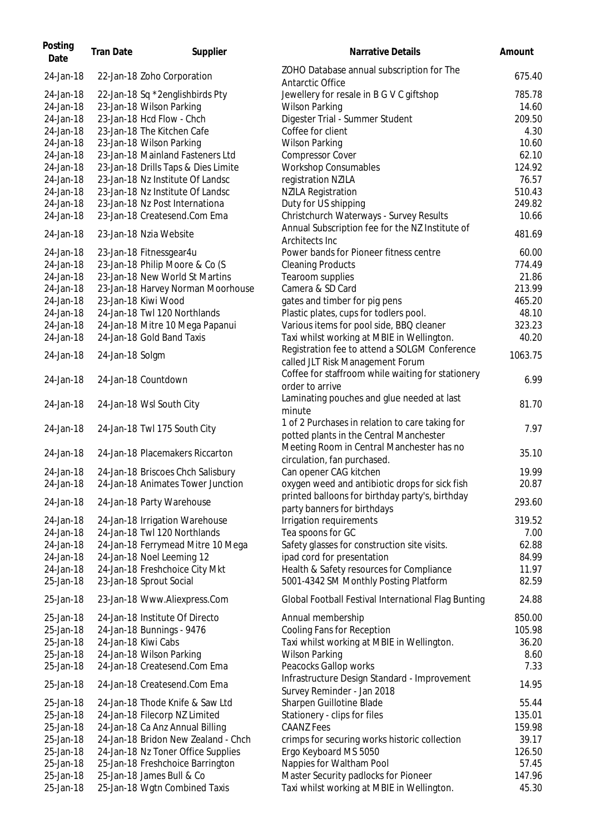| Posting<br>Date | <b>Tran Date</b>    | Supplier                            | <b>Narrative Details</b>                                                   | Amount  |
|-----------------|---------------------|-------------------------------------|----------------------------------------------------------------------------|---------|
| 24-Jan-18       |                     | 22-Jan-18 Zoho Corporation          | ZOHO Database annual subscription for The<br>Antarctic Office              | 675.40  |
| 24-Jan-18       |                     | 22-Jan-18 Sq *2englishbirds Pty     | Jewellery for resale in B G V C giftshop                                   | 785.78  |
| 24-Jan-18       |                     | 23-Jan-18 Wilson Parking            | <b>Wilson Parking</b>                                                      | 14.60   |
| 24-Jan-18       |                     | 23-Jan-18 Hcd Flow - Chch           | Digester Trial - Summer Student                                            | 209.50  |
| 24-Jan-18       |                     | 23-Jan-18 The Kitchen Cafe          | Coffee for client                                                          | 4.30    |
| 24-Jan-18       |                     | 23-Jan-18 Wilson Parking            | <b>Wilson Parking</b>                                                      | 10.60   |
| 24-Jan-18       |                     | 23-Jan-18 Mainland Fasteners Ltd    | <b>Compressor Cover</b>                                                    | 62.10   |
| 24-Jan-18       |                     | 23-Jan-18 Drills Taps & Dies Limite | <b>Workshop Consumables</b>                                                | 124.92  |
| 24-Jan-18       |                     | 23-Jan-18 Nz Institute Of Landsc    | registration NZILA                                                         | 76.57   |
| 24-Jan-18       |                     | 23-Jan-18 Nz Institute Of Landsc    | <b>NZILA Registration</b>                                                  | 510.43  |
| 24-Jan-18       |                     | 23-Jan-18 Nz Post Internationa      | Duty for US shipping                                                       | 249.82  |
| 24-Jan-18       |                     | 23-Jan-18 Createsend.Com Ema        | Christchurch Waterways - Survey Results                                    | 10.66   |
|                 |                     |                                     | Annual Subscription fee for the NZ Institute of                            |         |
| 24-Jan-18       |                     | 23-Jan-18 Nzia Website              | Architects Inc                                                             | 481.69  |
| 24-Jan-18       |                     | 23-Jan-18 Fitnessgear4u             | Power bands for Pioneer fitness centre                                     | 60.00   |
| 24-Jan-18       |                     | 23-Jan-18 Philip Moore & Co (S      | <b>Cleaning Products</b>                                                   | 774.49  |
| 24-Jan-18       |                     | 23-Jan-18 New World St Martins      | Tearoom supplies                                                           | 21.86   |
| 24-Jan-18       |                     | 23-Jan-18 Harvey Norman Moorhouse   | Camera & SD Card                                                           | 213.99  |
| 24-Jan-18       |                     | 23-Jan-18 Kiwi Wood                 | gates and timber for pig pens                                              | 465.20  |
| 24-Jan-18       |                     | 24-Jan-18 Twl 120 Northlands        | Plastic plates, cups for todlers pool.                                     | 48.10   |
| 24-Jan-18       |                     | 24-Jan-18 Mitre 10 Mega Papanui     | Various items for pool side, BBQ cleaner                                   | 323.23  |
| 24-Jan-18       |                     | 24-Jan-18 Gold Band Taxis           | Taxi whilst working at MBIE in Wellington.                                 | 40.20   |
|                 |                     |                                     | Registration fee to attend a SOLGM Conference                              |         |
| 24-Jan-18       | 24-Jan-18 Solgm     |                                     | called JLT Risk Management Forum                                           | 1063.75 |
|                 |                     |                                     | Coffee for staffroom while waiting for stationery                          |         |
| 24-Jan-18       |                     | 24-Jan-18 Countdown                 | order to arrive                                                            | 6.99    |
|                 |                     |                                     | Laminating pouches and glue needed at last                                 |         |
| 24-Jan-18       |                     | 24-Jan-18 Wsl South City            | minute                                                                     | 81.70   |
|                 |                     |                                     | 1 of 2 Purchases in relation to care taking for                            |         |
| 24-Jan-18       |                     | 24-Jan-18 Twl 175 South City        | potted plants in the Central Manchester                                    | 7.97    |
|                 |                     |                                     | Meeting Room in Central Manchester has no                                  |         |
| 24-Jan-18       |                     | 24-Jan-18 Placemakers Riccarton     | circulation, fan purchased.                                                | 35.10   |
| 24-Jan-18       |                     | 24-Jan-18 Briscoes Chch Salisbury   | Can opener CAG kitchen                                                     | 19.99   |
| 24-Jan-18       |                     | 24-Jan-18 Animates Tower Junction   | oxygen weed and antibiotic drops for sick fish                             | 20.87   |
|                 |                     |                                     | printed balloons for birthday party's, birthday                            |         |
| 24-Jan-18       |                     | 24-Jan-18 Party Warehouse           | party banners for birthdays                                                | 293.60  |
| 24-Jan-18       |                     | 24-Jan-18 Irrigation Warehouse      | Irrigation requirements                                                    | 319.52  |
| 24-Jan-18       |                     | 24-Jan-18 Twl 120 Northlands        | Tea spoons for GC                                                          | 7.00    |
| 24-Jan-18       |                     | 24-Jan-18 Ferrymead Mitre 10 Mega   | Safety glasses for construction site visits.                               | 62.88   |
| 24-Jan-18       |                     | 24-Jan-18 Noel Leeming 12           | ipad cord for presentation                                                 | 84.99   |
| 24-Jan-18       |                     | 24-Jan-18 Freshchoice City Mkt      | Health & Safety resources for Compliance                                   | 11.97   |
| 25-Jan-18       |                     | 23-Jan-18 Sprout Social             | 5001-4342 SM Monthly Posting Platform                                      | 82.59   |
| 25-Jan-18       |                     |                                     |                                                                            | 24.88   |
|                 |                     | 23-Jan-18 Www.Aliexpress.Com        | Global Football Festival International Flag Bunting                        |         |
| 25-Jan-18       |                     | 24-Jan-18 Institute Of Directo      | Annual membership                                                          | 850.00  |
| 25-Jan-18       |                     | 24-Jan-18 Bunnings - 9476           | Cooling Fans for Reception                                                 | 105.98  |
| 25-Jan-18       | 24-Jan-18 Kiwi Cabs |                                     | Taxi whilst working at MBIE in Wellington.                                 | 36.20   |
| 25-Jan-18       |                     | 24-Jan-18 Wilson Parking            | <b>Wilson Parking</b>                                                      | 8.60    |
| 25-Jan-18       |                     | 24-Jan-18 Createsend.Com Ema        | Peacocks Gallop works                                                      | 7.33    |
| 25-Jan-18       |                     | 24-Jan-18 Createsend.Com Ema        | Infrastructure Design Standard - Improvement<br>Survey Reminder - Jan 2018 | 14.95   |
| 25-Jan-18       |                     | 24-Jan-18 Thode Knife & Saw Ltd     | Sharpen Guillotine Blade                                                   | 55.44   |
| 25-Jan-18       |                     | 24-Jan-18 Filecorp NZ Limited       | Stationery - clips for files                                               | 135.01  |
| 25-Jan-18       |                     | 24-Jan-18 Ca Anz Annual Billing     | <b>CAANZ Fees</b>                                                          | 159.98  |
| 25-Jan-18       |                     | 24-Jan-18 Bridon New Zealand - Chch | crimps for securing works historic collection                              | 39.17   |
| 25-Jan-18       |                     | 24-Jan-18 Nz Toner Office Supplies  | Ergo Keyboard MS 5050                                                      | 126.50  |
| 25-Jan-18       |                     | 25-Jan-18 Freshchoice Barrington    | Nappies for Waltham Pool                                                   | 57.45   |
| 25-Jan-18       |                     | 25-Jan-18 James Bull & Co           | Master Security padlocks for Pioneer                                       | 147.96  |
| 25-Jan-18       |                     | 25-Jan-18 Wgtn Combined Taxis       | Taxi whilst working at MBIE in Wellington.                                 | 45.30   |